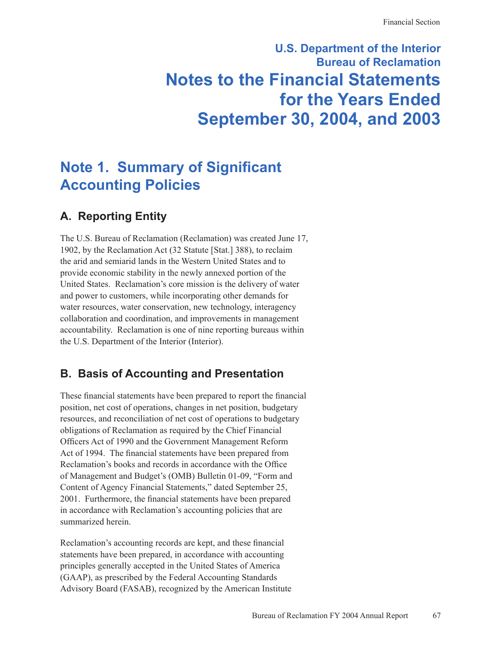# **U.S. Department of the Interior Bureau of Reclamation Notes to the Financial Statements for the Years Ended September 30, 2004, and 2003**

# **Note 1. Summary of Significant Accounting Policies**

# **A. Reporting Entity**

The U.S. Bureau of Reclamation (Reclamation) was created June 17, 1902, by the Reclamation Act (32 Statute [Stat.] 388), to reclaim the arid and semiarid lands in the Western United States and to provide economic stability in the newly annexed portion of the United States. Reclamation's core mission is the delivery of water and power to customers, while incorporating other demands for water resources, water conservation, new technology, interagency collaboration and coordination, and improvements in management accountability. Reclamation is one of nine reporting bureaus within the U.S. Department of the Interior (Interior).

# **B. Basis of Accounting and Presentation**

These financial statements have been prepared to report the financial position, net cost of operations, changes in net position, budgetary resources, and reconciliation of net cost of operations to budgetary obligations of Reclamation as required by the Chief Financial Officers Act of 1990 and the Government Management Reform Act of 1994. The financial statements have been prepared from Reclamation's books and records in accordance with the Office of Management and Budget's (OMB) Bulletin 01-09, "Form and Content of Agency Financial Statements," dated September 25, 2001. Furthermore, the financial statements have been prepared in accordance with Reclamation's accounting policies that are summarized herein.

Reclamation's accounting records are kept, and these financial statements have been prepared, in accordance with accounting principles generally accepted in the United States of America (GAAP), as prescribed by the Federal Accounting Standards Advisory Board (FASAB), recognized by the American Institute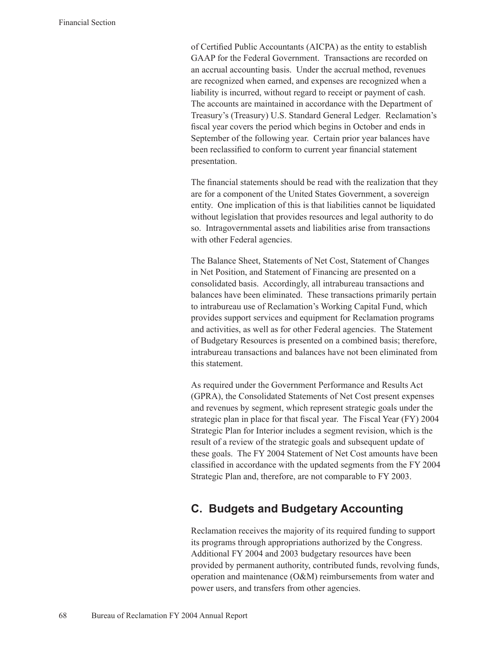of Certified Public Accountants (AICPA) as the entity to establish GAAP for the Federal Government. Transactions are recorded on an accrual accounting basis. Under the accrual method, revenues are recognized when earned, and expenses are recognized when a liability is incurred, without regard to receipt or payment of cash. The accounts are maintained in accordance with the Department of Treasury's (Treasury) U.S. Standard General Ledger. Reclamation's fiscal year covers the period which begins in October and ends in September of the following year. Certain prior year balances have been reclassified to conform to current year financial statement presentation.

The financial statements should be read with the realization that they are for a component of the United States Government, a sovereign entity. One implication of this is that liabilities cannot be liquidated without legislation that provides resources and legal authority to do so. Intragovernmental assets and liabilities arise from transactions with other Federal agencies.

The Balance Sheet, Statements of Net Cost, Statement of Changes in Net Position, and Statement of Financing are presented on a consolidated basis. Accordingly, all intrabureau transactions and balances have been eliminated. These transactions primarily pertain to intrabureau use of Reclamation's Working Capital Fund, which provides support services and equipment for Reclamation programs and activities, as well as for other Federal agencies. The Statement of Budgetary Resources is presented on a combined basis; therefore, intrabureau transactions and balances have not been eliminated from this statement.

As required under the Government Performance and Results Act (GPRA), the Consolidated Statements of Net Cost present expenses and revenues by segment, which represent strategic goals under the strategic plan in place for that fiscal year. The Fiscal Year (FY) 2004 Strategic Plan for Interior includes a segment revision, which is the result of a review of the strategic goals and subsequent update of these goals. The FY 2004 Statement of Net Cost amounts have been classified in accordance with the updated segments from the FY 2004 Strategic Plan and, therefore, are not comparable to FY 2003.

# **C. Budgets and Budgetary Accounting**

Reclamation receives the majority of its required funding to support its programs through appropriations authorized by the Congress. Additional FY 2004 and 2003 budgetary resources have been provided by permanent authority, contributed funds, revolving funds, operation and maintenance (O&M) reimbursements from water and power users, and transfers from other agencies.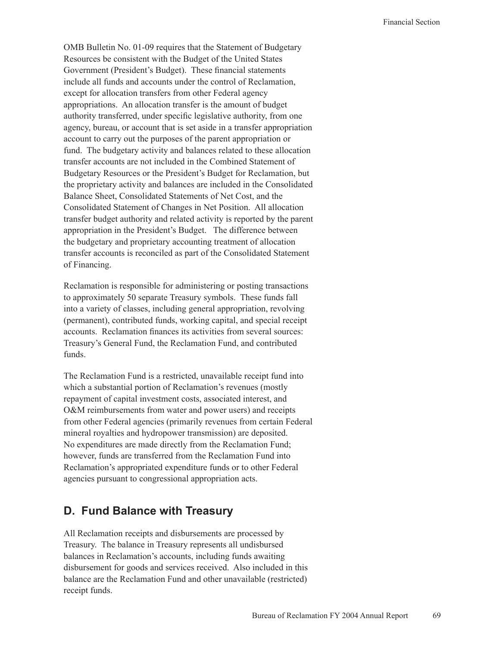OMB Bulletin No. 01-09 requires that the Statement of Budgetary Resources be consistent with the Budget of the United States Government (President's Budget). These financial statements include all funds and accounts under the control of Reclamation, except for allocation transfers from other Federal agency appropriations. An allocation transfer is the amount of budget authority transferred, under specific legislative authority, from one agency, bureau, or account that is set aside in a transfer appropriation account to carry out the purposes of the parent appropriation or fund. The budgetary activity and balances related to these allocation transfer accounts are not included in the Combined Statement of Budgetary Resources or the President's Budget for Reclamation, but the proprietary activity and balances are included in the Consolidated Balance Sheet, Consolidated Statements of Net Cost, and the Consolidated Statement of Changes in Net Position. All allocation transfer budget authority and related activity is reported by the parent appropriation in the President's Budget. The difference between the budgetary and proprietary accounting treatment of allocation transfer accounts is reconciled as part of the Consolidated Statement of Financing.

Reclamation is responsible for administering or posting transactions to approximately 50 separate Treasury symbols. These funds fall into a variety of classes, including general appropriation, revolving (permanent), contributed funds, working capital, and special receipt accounts. Reclamation finances its activities from several sources: Treasury's General Fund, the Reclamation Fund, and contributed funds.

The Reclamation Fund is a restricted, unavailable receipt fund into which a substantial portion of Reclamation's revenues (mostly repayment of capital investment costs, associated interest, and O&M reimbursements from water and power users) and receipts from other Federal agencies (primarily revenues from certain Federal mineral royalties and hydropower transmission) are deposited. No expenditures are made directly from the Reclamation Fund; however, funds are transferred from the Reclamation Fund into Reclamation's appropriated expenditure funds or to other Federal agencies pursuant to congressional appropriation acts.

# **D. Fund Balance with Treasury**

All Reclamation receipts and disbursements are processed by Treasury. The balance in Treasury represents all undisbursed balances in Reclamation's accounts, including funds awaiting disbursement for goods and services received. Also included in this balance are the Reclamation Fund and other unavailable (restricted) receipt funds.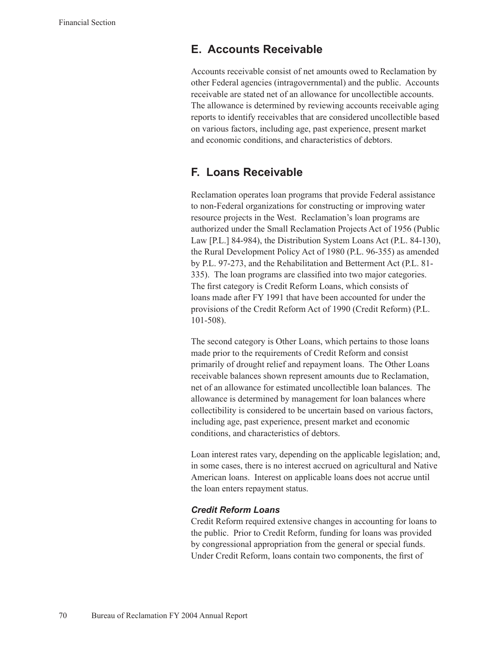### **E. Accounts Receivable**

Accounts receivable consist of net amounts owed to Reclamation by other Federal agencies (intragovernmental) and the public. Accounts receivable are stated net of an allowance for uncollectible accounts. The allowance is determined by reviewing accounts receivable aging reports to identify receivables that are considered uncollectible based on various factors, including age, past experience, present market and economic conditions, and characteristics of debtors.

### **F. Loans Receivable**

Reclamation operates loan programs that provide Federal assistance to non-Federal organizations for constructing or improving water resource projects in the West. Reclamation's loan programs are authorized under the Small Reclamation Projects Act of 1956 (Public Law [P.L.] 84-984), the Distribution System Loans Act (P.L. 84-130), the Rural Development Policy Act of 1980 (P.L. 96-355) as amended by P.L. 97-273, and the Rehabilitation and Betterment Act (P.L. 81- 335). The loan programs are classified into two major categories. The first category is Credit Reform Loans, which consists of loans made after FY 1991 that have been accounted for under the provisions of the Credit Reform Act of 1990 (Credit Reform) (P.L. 101-508).

The second category is Other Loans, which pertains to those loans made prior to the requirements of Credit Reform and consist primarily of drought relief and repayment loans. The Other Loans receivable balances shown represent amounts due to Reclamation, net of an allowance for estimated uncollectible loan balances. The allowance is determined by management for loan balances where collectibility is considered to be uncertain based on various factors, including age, past experience, present market and economic conditions, and characteristics of debtors.

Loan interest rates vary, depending on the applicable legislation; and, in some cases, there is no interest accrued on agricultural and Native American loans. Interest on applicable loans does not accrue until the loan enters repayment status.

#### *Credit Reform Loans*

Credit Reform required extensive changes in accounting for loans to the public. Prior to Credit Reform, funding for loans was provided by congressional appropriation from the general or special funds. Under Credit Reform, loans contain two components, the first of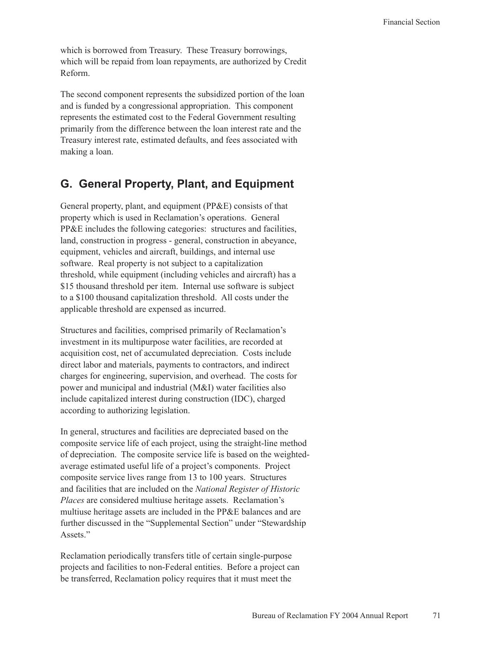which is borrowed from Treasury. These Treasury borrowings, which will be repaid from loan repayments, are authorized by Credit Reform.

The second component represents the subsidized portion of the loan and is funded by a congressional appropriation. This component represents the estimated cost to the Federal Government resulting primarily from the difference between the loan interest rate and the Treasury interest rate, estimated defaults, and fees associated with making a loan.

# **G. General Property, Plant, and Equipment**

General property, plant, and equipment (PP&E) consists of that property which is used in Reclamation's operations. General PP&E includes the following categories: structures and facilities, land, construction in progress - general, construction in abeyance, equipment, vehicles and aircraft, buildings, and internal use software. Real property is not subject to a capitalization threshold, while equipment (including vehicles and aircraft) has a \$15 thousand threshold per item. Internal use software is subject to a \$100 thousand capitalization threshold. All costs under the applicable threshold are expensed as incurred.

Structures and facilities, comprised primarily of Reclamation's investment in its multipurpose water facilities, are recorded at acquisition cost, net of accumulated depreciation. Costs include direct labor and materials, payments to contractors, and indirect charges for engineering, supervision, and overhead. The costs for power and municipal and industrial (M&I) water facilities also include capitalized interest during construction (IDC), charged according to authorizing legislation.

In general, structures and facilities are depreciated based on the composite service life of each project, using the straight-line method of depreciation. The composite service life is based on the weightedaverage estimated useful life of a project's components. Project composite service lives range from 13 to 100 years. Structures and facilities that are included on the *National Register of Historic Places* are considered multiuse heritage assets. Reclamation's multiuse heritage assets are included in the PP&E balances and are further discussed in the "Supplemental Section" under "Stewardship Assets."

Reclamation periodically transfers title of certain single-purpose projects and facilities to non-Federal entities. Before a project can be transferred, Reclamation policy requires that it must meet the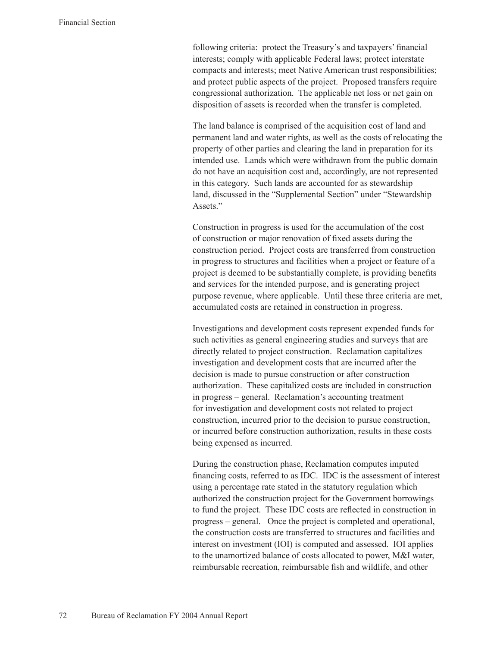following criteria: protect the Treasury's and taxpayers' financial interests; comply with applicable Federal laws; protect interstate compacts and interests; meet Native American trust responsibilities; and protect public aspects of the project. Proposed transfers require congressional authorization. The applicable net loss or net gain on disposition of assets is recorded when the transfer is completed.

The land balance is comprised of the acquisition cost of land and permanent land and water rights, as well as the costs of relocating the property of other parties and clearing the land in preparation for its intended use. Lands which were withdrawn from the public domain do not have an acquisition cost and, accordingly, are not represented in this category. Such lands are accounted for as stewardship land, discussed in the "Supplemental Section" under "Stewardship Assets<sup>"</sup>

Construction in progress is used for the accumulation of the cost of construction or major renovation of fixed assets during the construction period. Project costs are transferred from construction in progress to structures and facilities when a project or feature of a project is deemed to be substantially complete, is providing benefits and services for the intended purpose, and is generating project purpose revenue, where applicable. Until these three criteria are met, accumulated costs are retained in construction in progress.

Investigations and development costs represent expended funds for such activities as general engineering studies and surveys that are directly related to project construction. Reclamation capitalizes investigation and development costs that are incurred after the decision is made to pursue construction or after construction authorization. These capitalized costs are included in construction in progress – general. Reclamation's accounting treatment for investigation and development costs not related to project construction, incurred prior to the decision to pursue construction, or incurred before construction authorization, results in these costs being expensed as incurred.

During the construction phase, Reclamation computes imputed financing costs, referred to as IDC. IDC is the assessment of interest using a percentage rate stated in the statutory regulation which authorized the construction project for the Government borrowings to fund the project. These IDC costs are reflected in construction in progress – general. Once the project is completed and operational, the construction costs are transferred to structures and facilities and interest on investment (IOI) is computed and assessed. IOI applies to the unamortized balance of costs allocated to power, M&I water, reimbursable recreation, reimbursable fish and wildlife, and other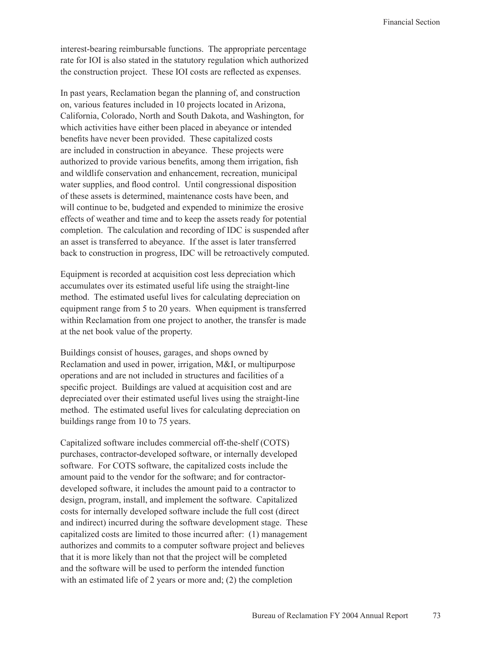interest-bearing reimbursable functions. The appropriate percentage rate for IOI is also stated in the statutory regulation which authorized the construction project. These IOI costs are reflected as expenses.

In past years, Reclamation began the planning of, and construction on, various features included in 10 projects located in Arizona, California, Colorado, North and South Dakota, and Washington, for which activities have either been placed in abeyance or intended benefits have never been provided. These capitalized costs are included in construction in abeyance. These projects were authorized to provide various benefits, among them irrigation, fish and wildlife conservation and enhancement, recreation, municipal water supplies, and flood control. Until congressional disposition of these assets is determined, maintenance costs have been, and will continue to be, budgeted and expended to minimize the erosive effects of weather and time and to keep the assets ready for potential completion. The calculation and recording of IDC is suspended after an asset is transferred to abeyance. If the asset is later transferred back to construction in progress, IDC will be retroactively computed.

Equipment is recorded at acquisition cost less depreciation which accumulates over its estimated useful life using the straight-line method. The estimated useful lives for calculating depreciation on equipment range from 5 to 20 years. When equipment is transferred within Reclamation from one project to another, the transfer is made at the net book value of the property.

Buildings consist of houses, garages, and shops owned by Reclamation and used in power, irrigation, M&I, or multipurpose operations and are not included in structures and facilities of a specific project. Buildings are valued at acquisition cost and are depreciated over their estimated useful lives using the straight-line method. The estimated useful lives for calculating depreciation on buildings range from 10 to 75 years.

Capitalized software includes commercial off-the-shelf (COTS) purchases, contractor-developed software, or internally developed software. For COTS software, the capitalized costs include the amount paid to the vendor for the software; and for contractordeveloped software, it includes the amount paid to a contractor to design, program, install, and implement the software. Capitalized costs for internally developed software include the full cost (direct and indirect) incurred during the software development stage. These capitalized costs are limited to those incurred after: (1) management authorizes and commits to a computer software project and believes that it is more likely than not that the project will be completed and the software will be used to perform the intended function with an estimated life of 2 years or more and; (2) the completion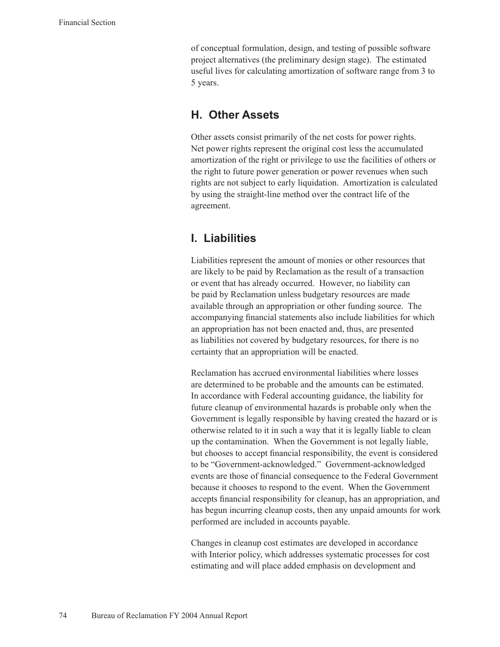of conceptual formulation, design, and testing of possible software project alternatives (the preliminary design stage). The estimated useful lives for calculating amortization of software range from 3 to 5 years.

### **H. Other Assets**

Other assets consist primarily of the net costs for power rights. Net power rights represent the original cost less the accumulated amortization of the right or privilege to use the facilities of others or the right to future power generation or power revenues when such rights are not subject to early liquidation. Amortization is calculated by using the straight-line method over the contract life of the agreement.

### **I. Liabilities**

Liabilities represent the amount of monies or other resources that are likely to be paid by Reclamation as the result of a transaction or event that has already occurred. However, no liability can be paid by Reclamation unless budgetary resources are made available through an appropriation or other funding source. The accompanying financial statements also include liabilities for which an appropriation has not been enacted and, thus, are presented as liabilities not covered by budgetary resources, for there is no certainty that an appropriation will be enacted.

Reclamation has accrued environmental liabilities where losses are determined to be probable and the amounts can be estimated. In accordance with Federal accounting guidance, the liability for future cleanup of environmental hazards is probable only when the Government is legally responsible by having created the hazard or is otherwise related to it in such a way that it is legally liable to clean up the contamination. When the Government is not legally liable, but chooses to accept financial responsibility, the event is considered to be "Government-acknowledged." Government-acknowledged events are those of financial consequence to the Federal Government because it chooses to respond to the event. When the Government accepts financial responsibility for cleanup, has an appropriation, and has begun incurring cleanup costs, then any unpaid amounts for work performed are included in accounts payable.

Changes in cleanup cost estimates are developed in accordance with Interior policy, which addresses systematic processes for cost estimating and will place added emphasis on development and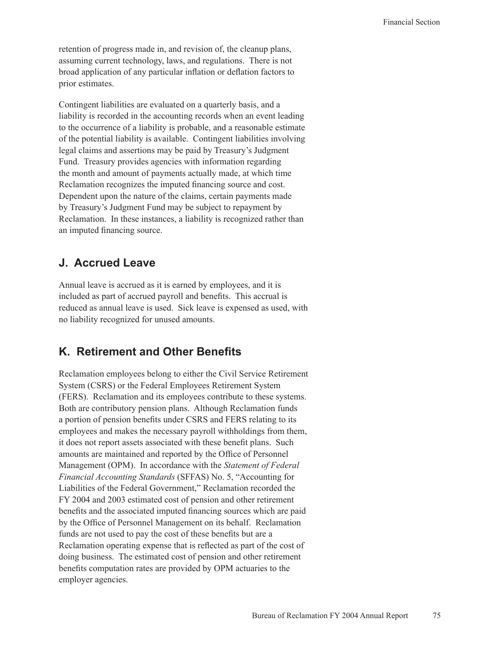retention of progress made in, and revision of, the cleanup plans, assuming current technology, laws, and regulations. There is not broad application of any particular inflation or deflation factors to prior estimates.

Contingent liabilities are evaluated on a quarterly basis, and a liability is recorded in the accounting records when an event leading to the occurrence of a liability is probable, and a reasonable estimate of the potential liability is available. Contingent liabilities involving legal claims and assertions may be paid by Treasury's Judgment Fund. Treasury provides agencies with information regarding the month and amount of payments actually made, at which time Reclamation recognizes the imputed financing source and cost. Dependent upon the nature of the claims, certain payments made by Treasury's Judgment Fund may be subject to repayment by Reclamation. In these instances, a liability is recognized rather than an imputed financing source.

### **J. Accrued Leave**

Annual leave is accrued as it is earned by employees, and it is included as part of accrued payroll and benefits. This accrual is reduced as annual leave is used. Sick leave is expensed as used, with no liability recognized for unused amounts.

# **K. Retirement and Other Benefits**

Reclamation employees belong to either the Civil Service Retirement System (CSRS) or the Federal Employees Retirement System (FERS). Reclamation and its employees contribute to these systems. Both are contributory pension plans. Although Reclamation funds a portion of pension benefits under CSRS and FERS relating to its employees and makes the necessary payroll withholdings from them, it does not report assets associated with these benefit plans. Such amounts are maintained and reported by the Office of Personnel Management (OPM). In accordance with the *Statement of Federal Financial Accounting Standards* (SFFAS) No. 5, "Accounting for Liabilities of the Federal Government," Reclamation recorded the FY 2004 and 2003 estimated cost of pension and other retirement benefits and the associated imputed financing sources which are paid by the Office of Personnel Management on its behalf. Reclamation funds are not used to pay the cost of these benefits but are a Reclamation operating expense that is reflected as part of the cost of doing business. The estimated cost of pension and other retirement benefits computation rates are provided by OPM actuaries to the employer agencies.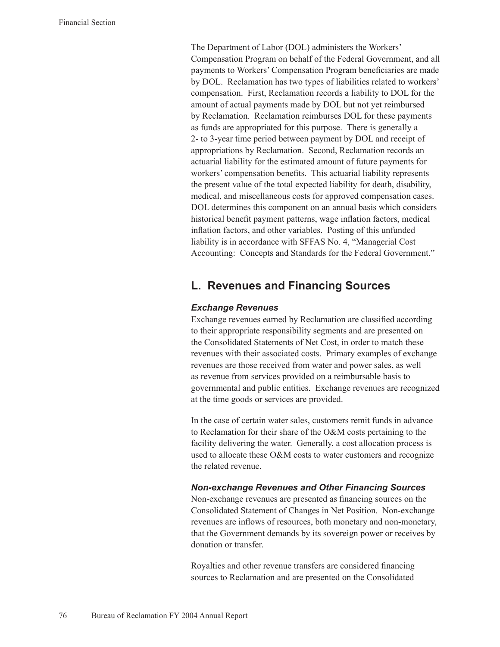The Department of Labor (DOL) administers the Workers' Compensation Program on behalf of the Federal Government, and all payments to Workers' Compensation Program beneficiaries are made by DOL. Reclamation has two types of liabilities related to workers' compensation. First, Reclamation records a liability to DOL for the amount of actual payments made by DOL but not yet reimbursed by Reclamation. Reclamation reimburses DOL for these payments as funds are appropriated for this purpose. There is generally a 2- to 3-year time period between payment by DOL and receipt of appropriations by Reclamation. Second, Reclamation records an actuarial liability for the estimated amount of future payments for workers' compensation benefits. This actuarial liability represents the present value of the total expected liability for death, disability, medical, and miscellaneous costs for approved compensation cases. DOL determines this component on an annual basis which considers historical benefit payment patterns, wage inflation factors, medical inflation factors, and other variables. Posting of this unfunded liability is in accordance with SFFAS No. 4, "Managerial Cost Accounting: Concepts and Standards for the Federal Government."

### **L. Revenues and Financing Sources**

#### *Exchange Revenues*

Exchange revenues earned by Reclamation are classified according to their appropriate responsibility segments and are presented on the Consolidated Statements of Net Cost, in order to match these revenues with their associated costs. Primary examples of exchange revenues are those received from water and power sales, as well as revenue from services provided on a reimbursable basis to governmental and public entities. Exchange revenues are recognized at the time goods or services are provided.

In the case of certain water sales, customers remit funds in advance to Reclamation for their share of the O&M costs pertaining to the facility delivering the water. Generally, a cost allocation process is used to allocate these O&M costs to water customers and recognize the related revenue.

#### *Non-exchange Revenues and Other Financing Sources*

Non-exchange revenues are presented as financing sources on the Consolidated Statement of Changes in Net Position. Non-exchange revenues are inflows of resources, both monetary and non-monetary, that the Government demands by its sovereign power or receives by donation or transfer.

Royalties and other revenue transfers are considered financing sources to Reclamation and are presented on the Consolidated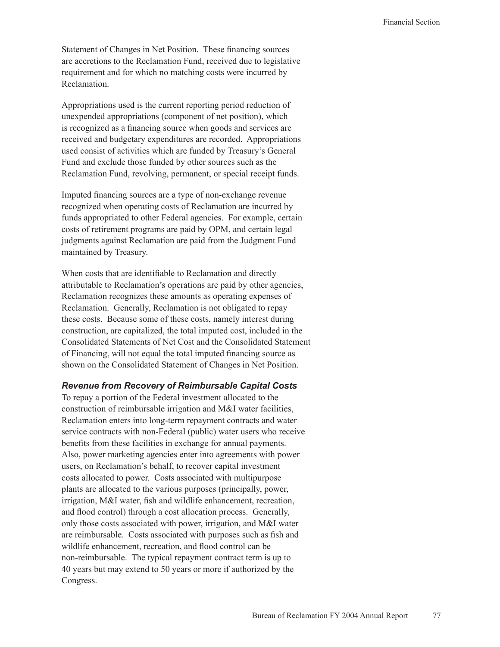Statement of Changes in Net Position. These financing sources are accretions to the Reclamation Fund, received due to legislative requirement and for which no matching costs were incurred by Reclamation.

Appropriations used is the current reporting period reduction of unexpended appropriations (component of net position), which is recognized as a financing source when goods and services are received and budgetary expenditures are recorded. Appropriations used consist of activities which are funded by Treasury's General Fund and exclude those funded by other sources such as the Reclamation Fund, revolving, permanent, or special receipt funds.

Imputed financing sources are a type of non-exchange revenue recognized when operating costs of Reclamation are incurred by funds appropriated to other Federal agencies. For example, certain costs of retirement programs are paid by OPM, and certain legal judgments against Reclamation are paid from the Judgment Fund maintained by Treasury.

When costs that are identifiable to Reclamation and directly attributable to Reclamation's operations are paid by other agencies, Reclamation recognizes these amounts as operating expenses of Reclamation. Generally, Reclamation is not obligated to repay these costs. Because some of these costs, namely interest during construction, are capitalized, the total imputed cost, included in the Consolidated Statements of Net Cost and the Consolidated Statement of Financing, will not equal the total imputed financing source as shown on the Consolidated Statement of Changes in Net Position.

#### *Revenue from Recovery of Reimbursable Capital Costs*

To repay a portion of the Federal investment allocated to the construction of reimbursable irrigation and M&I water facilities, Reclamation enters into long-term repayment contracts and water service contracts with non-Federal (public) water users who receive benefits from these facilities in exchange for annual payments. Also, power marketing agencies enter into agreements with power users, on Reclamation's behalf, to recover capital investment costs allocated to power. Costs associated with multipurpose plants are allocated to the various purposes (principally, power, irrigation, M&I water, fish and wildlife enhancement, recreation, and flood control) through a cost allocation process. Generally, only those costs associated with power, irrigation, and M&I water are reimbursable. Costs associated with purposes such as fish and wildlife enhancement, recreation, and flood control can be non-reimbursable. The typical repayment contract term is up to 40 years but may extend to 50 years or more if authorized by the Congress.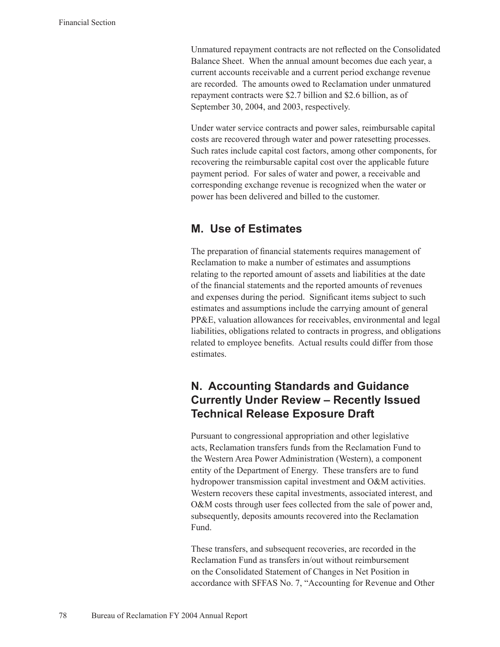Unmatured repayment contracts are not reflected on the Consolidated Balance Sheet. When the annual amount becomes due each year, a current accounts receivable and a current period exchange revenue are recorded. The amounts owed to Reclamation under unmatured repayment contracts were \$2.7 billion and \$2.6 billion, as of September 30, 2004, and 2003, respectively.

Under water service contracts and power sales, reimbursable capital costs are recovered through water and power ratesetting processes. Such rates include capital cost factors, among other components, for recovering the reimbursable capital cost over the applicable future payment period. For sales of water and power, a receivable and corresponding exchange revenue is recognized when the water or power has been delivered and billed to the customer.

### **M. Use of Estimates**

The preparation of financial statements requires management of Reclamation to make a number of estimates and assumptions relating to the reported amount of assets and liabilities at the date of the financial statements and the reported amounts of revenues and expenses during the period. Significant items subject to such estimates and assumptions include the carrying amount of general PP&E, valuation allowances for receivables, environmental and legal liabilities, obligations related to contracts in progress, and obligations related to employee benefits. Actual results could differ from those estimates.

# **N. Accounting Standards and Guidance Currently Under Review – Recently Issued Technical Release Exposure Draft**

Pursuant to congressional appropriation and other legislative acts, Reclamation transfers funds from the Reclamation Fund to the Western Area Power Administration (Western), a component entity of the Department of Energy. These transfers are to fund hydropower transmission capital investment and O&M activities. Western recovers these capital investments, associated interest, and O&M costs through user fees collected from the sale of power and, subsequently, deposits amounts recovered into the Reclamation Fund.

These transfers, and subsequent recoveries, are recorded in the Reclamation Fund as transfers in/out without reimbursement on the Consolidated Statement of Changes in Net Position in accordance with SFFAS No. 7, "Accounting for Revenue and Other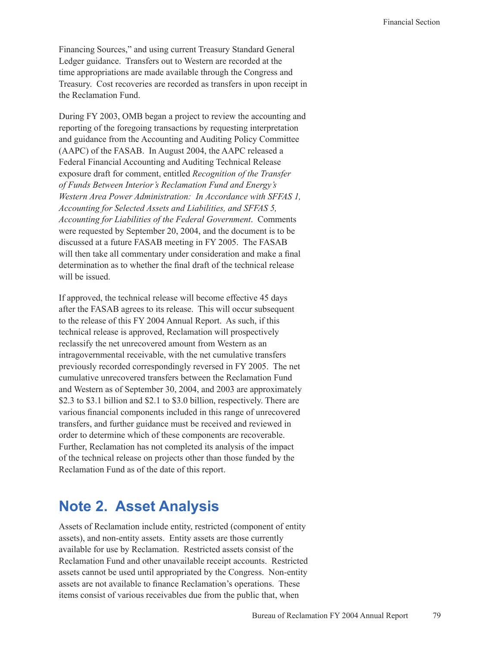Financing Sources," and using current Treasury Standard General Ledger guidance. Transfers out to Western are recorded at the time appropriations are made available through the Congress and Treasury. Cost recoveries are recorded as transfers in upon receipt in the Reclamation Fund.

During FY 2003, OMB began a project to review the accounting and reporting of the foregoing transactions by requesting interpretation and guidance from the Accounting and Auditing Policy Committee (AAPC) of the FASAB. In August 2004, the AAPC released a Federal Financial Accounting and Auditing Technical Release exposure draft for comment, entitled *Recognition of the Transfer of Funds Between Interior's Reclamation Fund and Energy's Western Area Power Administration: In Accordance with SFFAS 1, Accounting for Selected Assets and Liabilities, and SFFAS 5, Accounting for Liabilities of the Federal Government*. Comments were requested by September 20, 2004, and the document is to be discussed at a future FASAB meeting in FY 2005. The FASAB will then take all commentary under consideration and make a final determination as to whether the final draft of the technical release will be issued.

If approved, the technical release will become effective 45 days after the FASAB agrees to its release. This will occur subsequent to the release of this FY 2004 Annual Report. As such, if this technical release is approved, Reclamation will prospectively reclassify the net unrecovered amount from Western as an intragovernmental receivable, with the net cumulative transfers previously recorded correspondingly reversed in FY 2005. The net cumulative unrecovered transfers between the Reclamation Fund and Western as of September 30, 2004, and 2003 are approximately \$2.3 to \$3.1 billion and \$2.1 to \$3.0 billion, respectively. There are various financial components included in this range of unrecovered transfers, and further guidance must be received and reviewed in order to determine which of these components are recoverable. Further, Reclamation has not completed its analysis of the impact of the technical release on projects other than those funded by the Reclamation Fund as of the date of this report.

# **Note 2. Asset Analysis**

Assets of Reclamation include entity, restricted (component of entity assets), and non-entity assets. Entity assets are those currently available for use by Reclamation. Restricted assets consist of the Reclamation Fund and other unavailable receipt accounts. Restricted assets cannot be used until appropriated by the Congress. Non-entity assets are not available to finance Reclamation's operations. These items consist of various receivables due from the public that, when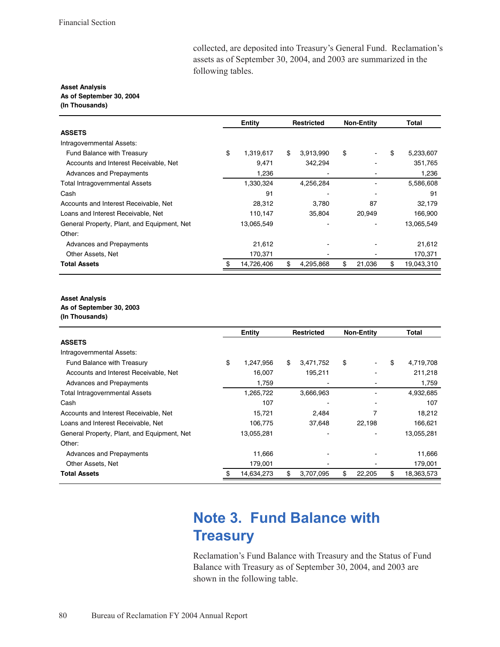collected, are deposited into Treasury's General Fund. Reclamation's assets as of September 30, 2004, and 2003 are summarized in the following tables.

#### **Asset Analysis** As of September 30, 2004 (In Thousands)

|                                             | <b>Entity</b> |            | <b>Restricted</b> |    | <b>Non-Entity</b> |    | Total      |
|---------------------------------------------|---------------|------------|-------------------|----|-------------------|----|------------|
| <b>ASSETS</b>                               |               |            |                   |    |                   |    |            |
| Intragovernmental Assets:                   |               |            |                   |    |                   |    |            |
| Fund Balance with Treasury                  | \$            | 1.319.617  | \$<br>3,913,990   | \$ |                   | \$ | 5,233,607  |
| Accounts and Interest Receivable, Net       |               | 9,471      | 342,294           |    |                   |    | 351,765    |
| Advances and Prepayments                    |               | 1,236      |                   |    |                   |    | 1,236      |
| <b>Total Intragovernmental Assets</b>       |               | 1,330,324  | 4,256,284         |    |                   |    | 5,586,608  |
| Cash                                        |               | 91         |                   |    |                   |    | 91         |
| Accounts and Interest Receivable, Net       |               | 28,312     | 3,780             |    | 87                |    | 32,179     |
| Loans and Interest Receivable, Net          |               | 110,147    | 35,804            |    | 20.949            |    | 166,900    |
| General Property, Plant, and Equipment, Net |               | 13,065,549 |                   |    |                   |    | 13,065,549 |
| Other:                                      |               |            |                   |    |                   |    |            |
| Advances and Prepayments                    |               | 21,612     |                   |    |                   |    | 21,612     |
| Other Assets, Net                           |               | 170,371    |                   |    |                   |    | 170,371    |
| <b>Total Assets</b>                         |               | 14,726,406 | \$<br>4,295,868   | \$ | 21,036            | \$ | 19,043,310 |

#### **Asset Analysis**

As of September 30, 2003

<sup>(</sup>In Thousands)

|                                             | Entity          | <b>Restricted</b> | <b>Non-Entity</b> | Total            |
|---------------------------------------------|-----------------|-------------------|-------------------|------------------|
| <b>ASSETS</b>                               |                 |                   |                   |                  |
| Intragovernmental Assets:                   |                 |                   |                   |                  |
| <b>Fund Balance with Treasury</b>           | \$<br>1,247,956 | \$<br>3,471,752   | \$                | \$<br>4,719,708  |
| Accounts and Interest Receivable, Net       | 16,007          | 195,211           |                   | 211,218          |
| Advances and Prepayments                    | 1.759           |                   |                   | 1,759            |
| Total Intragovernmental Assets              | 1,265,722       | 3,666,963         |                   | 4,932,685        |
| Cash                                        | 107             |                   |                   | 107              |
| Accounts and Interest Receivable, Net       | 15,721          | 2,484             | 7                 | 18,212           |
| Loans and Interest Receivable, Net          | 106,775         | 37,648            | 22,198            | 166,621          |
| General Property, Plant, and Equipment, Net | 13,055,281      |                   |                   | 13,055,281       |
| Other:                                      |                 |                   |                   |                  |
| Advances and Prepayments                    | 11,666          |                   |                   | 11,666           |
| Other Assets, Net                           | 179,001         |                   |                   | 179,001          |
| <b>Total Assets</b>                         | 14,634,273      | \$<br>3,707,095   | \$<br>22,205      | \$<br>18,363,573 |

# **Note 3. Fund Balance with Treasury**

Reclamation's Fund Balance with Treasury and the Status of Fund Balance with Treasury as of September 30, 2004, and 2003 are shown in the following table.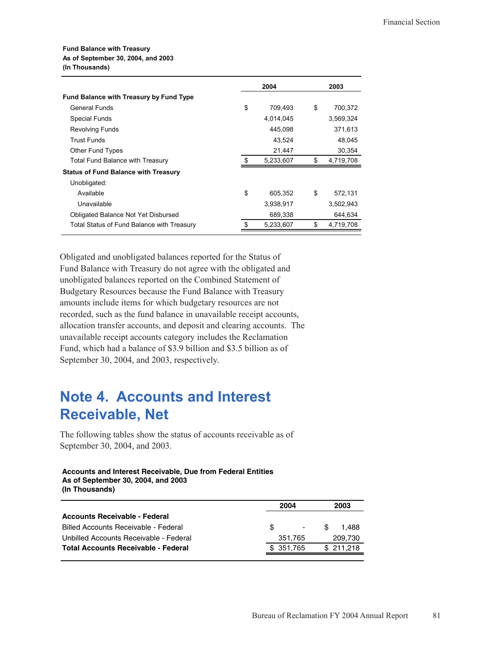#### **Fund Balance with Treasury** As of September 30, 2004, and 2003 (In Thousands)

|                                                | 2004          | 2003            |
|------------------------------------------------|---------------|-----------------|
| <b>Fund Balance with Treasury by Fund Type</b> |               |                 |
| <b>General Funds</b>                           | \$<br>709,493 | \$<br>700,372   |
| <b>Special Funds</b>                           | 4,014,045     | 3,569,324       |
| <b>Revolving Funds</b>                         | 445,098       | 371,613         |
| <b>Trust Funds</b>                             | 43.524        | 48.045          |
| Other Fund Types                               | 21,447        | 30,354          |
| Total Fund Balance with Treasury               | 5,233,607     | \$<br>4,719,708 |
| <b>Status of Fund Balance with Treasury</b>    |               |                 |
| Unobligated:                                   |               |                 |
| Available                                      | \$<br>605,352 | \$<br>572,131   |
| Unavailable                                    | 3,938,917     | 3,502,943       |
| Obligated Balance Not Yet Disbursed            | 689,338       | 644,634         |
| Total Status of Fund Balance with Treasury     | 5,233,607     | \$<br>4,719,708 |

Obligated and unobligated balances reported for the Status of Fund Balance with Treasury do not agree with the obligated and unobligated balances reported on the Combined Statement of Budgetary Resources because the Fund Balance with Treasury amounts include items for which budgetary resources are not recorded, such as the fund balance in unavailable receipt accounts, allocation transfer accounts, and deposit and clearing accounts. The unavailable receipt accounts category includes the Reclamation Fund, which had a balance of \$3.9 billion and \$3.5 billion as of September 30, 2004, and 2003, respectively.

# **Note 4. Accounts and Interest Receivable, Net**

The following tables show the status of accounts receivable as of September 30, 2004, and 2003.

#### **Accounts and Interest Receivable, Due from Federal Entities** As of September 30, 2004, and 2003 (In Thousands)

| 2004 | 2003                  |
|------|-----------------------|
|      |                       |
| -SG  | S<br>1.488<br>$\sim$  |
|      | 209,730               |
|      | \$211,218             |
|      | 351.765<br>\$ 351.765 |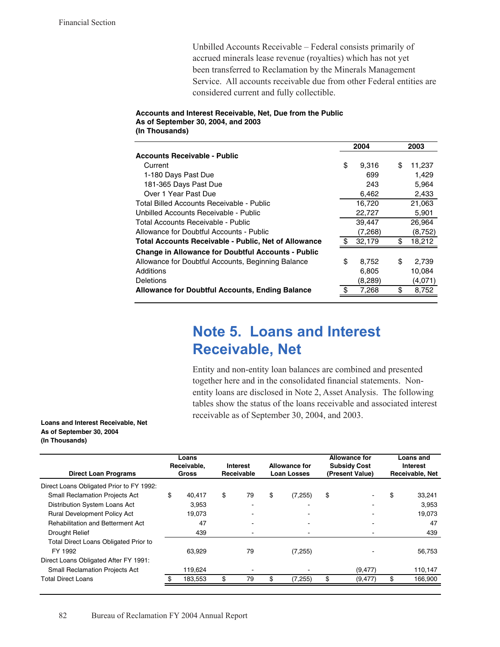Unbilled Accounts Receivable – Federal consists primarily of accrued minerals lease revenue (royalties) which has not yet been transferred to Reclamation by the Minerals Management Service. All accounts receivable due from other Federal entities are considered current and fully collectible.

#### Accounts and Interest Receivable, Net, Due from the Public As of September 30, 2004, and 2003 (In Thousands)

|                                                             |    | 2004    | 2003         |
|-------------------------------------------------------------|----|---------|--------------|
| <b>Accounts Receivable - Public</b>                         |    |         |              |
| Current                                                     | \$ | 9,316   | \$<br>11.237 |
| 1-180 Days Past Due                                         |    | 699     | 1,429        |
| 181-365 Days Past Due                                       |    | 243     | 5,964        |
| Over 1 Year Past Due                                        |    | 6,462   | 2,433        |
| Total Billed Accounts Receivable - Public                   |    | 16,720  | 21,063       |
| Unbilled Accounts Receivable - Public                       |    | 22,727  | 5,901        |
| Total Accounts Receivable - Public                          |    | 39,447  | 26,964       |
| Allowance for Doubtful Accounts - Public                    |    | (7,268) | (8, 752)     |
| <b>Total Accounts Receivable - Public, Net of Allowance</b> | £. | 32,179  | \$<br>18,212 |
| <b>Change in Allowance for Doubtful Accounts - Public</b>   |    |         |              |
| Allowance for Doubtful Accounts, Beginning Balance          | \$ | 8,752   | \$<br>2,739  |
| Additions                                                   |    | 6,805   | 10,084       |
| Deletions                                                   |    | (8,289) | (4,071)      |
| <b>Allowance for Doubtful Accounts, Ending Balance</b>      | \$ | 7,268   | \$<br>8,752  |

# **Note 5. Loans and Interest Receivable, Net**

Entity and non-entity loan balances are combined and presented together here and in the consolidated financial statements. Nonentity loans are disclosed in Note 2, Asset Analysis. The following tables show the status of the loans receivable and associated interest receivable as of September 30, 2004, and 2003.

Loans and Interest Receivable, Net As of September 30, 2004 (In Thousands)

| <b>Direct Loan Programs</b>                  | Loans<br>Receivable,<br>Gross |         |    |    |    |          | <b>Interest</b><br>Receivable |          |     |         | <b>Allowance for</b><br><b>Loan Losses</b> |  | <b>Allowance for</b><br><b>Subsidy Cost</b><br>(Present Value) |  |  | Loans and<br><b>Interest</b><br>Receivable, Net |
|----------------------------------------------|-------------------------------|---------|----|----|----|----------|-------------------------------|----------|-----|---------|--------------------------------------------|--|----------------------------------------------------------------|--|--|-------------------------------------------------|
| Direct Loans Obligated Prior to FY 1992:     |                               |         |    |    |    |          |                               |          |     |         |                                            |  |                                                                |  |  |                                                 |
| <b>Small Reclamation Projects Act</b>        | \$                            | 40.417  | \$ | 79 | \$ | (7, 255) | \$                            |          | \$  | 33,241  |                                            |  |                                                                |  |  |                                                 |
| Distribution System Loans Act                |                               | 3.953   |    |    |    |          |                               |          |     | 3.953   |                                            |  |                                                                |  |  |                                                 |
| <b>Rural Development Policy Act</b>          |                               | 19,073  |    |    |    |          |                               |          |     | 19,073  |                                            |  |                                                                |  |  |                                                 |
| <b>Rehabilitation and Betterment Act</b>     |                               | 47      |    |    |    |          |                               |          |     | 47      |                                            |  |                                                                |  |  |                                                 |
| Drought Relief                               |                               | 439     |    |    |    |          |                               |          |     | 439     |                                            |  |                                                                |  |  |                                                 |
| <b>Total Direct Loans Obligated Prior to</b> |                               |         |    |    |    |          |                               |          |     |         |                                            |  |                                                                |  |  |                                                 |
| FY 1992                                      |                               | 63.929  |    | 79 |    | (7, 255) |                               |          |     | 56,753  |                                            |  |                                                                |  |  |                                                 |
| Direct Loans Obligated After FY 1991:        |                               |         |    |    |    |          |                               |          |     |         |                                            |  |                                                                |  |  |                                                 |
| <b>Small Reclamation Projects Act</b>        |                               | 119,624 |    |    |    |          |                               | (9, 477) |     | 110,147 |                                            |  |                                                                |  |  |                                                 |
| <b>Total Direct Loans</b>                    |                               | 183.553 | \$ | 79 |    | (7, 255) | \$.                           | (9.477)  | \$. | 166.900 |                                            |  |                                                                |  |  |                                                 |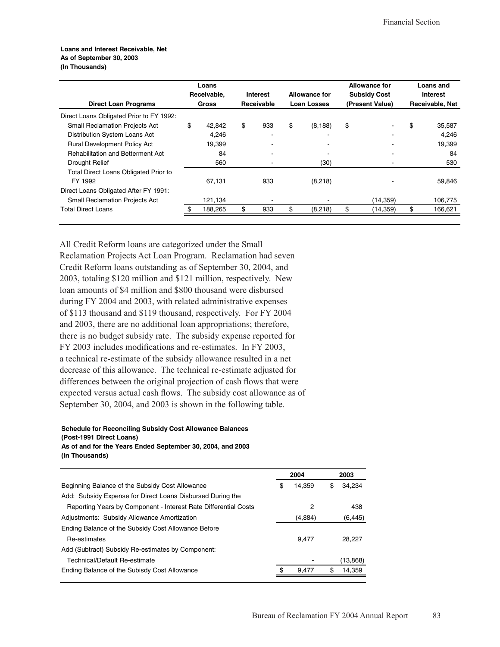#### Loans and Interest Receivable, Net As of September 30, 2003 (In Thousands)

| <b>Direct Loan Programs</b>                  |    | Loans<br>Receivable,<br>Gross |    |     |    | <b>Interest</b><br>Receivable | <b>Allowance for</b><br><b>Loan Losses</b> |     | <b>Allowance for</b><br><b>Subsidy Cost</b><br>(Present Value) |  | Loans and<br><b>Interest</b><br>Receivable, Net |
|----------------------------------------------|----|-------------------------------|----|-----|----|-------------------------------|--------------------------------------------|-----|----------------------------------------------------------------|--|-------------------------------------------------|
| Direct Loans Obligated Prior to FY 1992:     |    |                               |    |     |    |                               |                                            |     |                                                                |  |                                                 |
| <b>Small Reclamation Projects Act</b>        | \$ | 42,842                        | \$ | 933 | \$ | (8, 188)                      | \$                                         | \$  | 35,587                                                         |  |                                                 |
| Distribution System Loans Act                |    | 4,246                         |    |     |    |                               |                                            |     | 4.246                                                          |  |                                                 |
| <b>Rural Development Policy Act</b>          |    | 19,399                        |    |     |    |                               |                                            |     | 19,399                                                         |  |                                                 |
| <b>Rehabilitation and Betterment Act</b>     |    | 84                            |    |     |    |                               |                                            |     | 84                                                             |  |                                                 |
| Drought Relief                               |    | 560                           |    |     |    | (30)                          |                                            |     | 530                                                            |  |                                                 |
| <b>Total Direct Loans Obligated Prior to</b> |    |                               |    |     |    |                               |                                            |     |                                                                |  |                                                 |
| FY 1992                                      |    | 67.131                        |    | 933 |    | (8,218)                       |                                            |     | 59,846                                                         |  |                                                 |
| Direct Loans Obligated After FY 1991:        |    |                               |    |     |    |                               |                                            |     |                                                                |  |                                                 |
| <b>Small Reclamation Projects Act</b>        |    | 121,134                       |    |     |    |                               | (14, 359)                                  |     | 106,775                                                        |  |                                                 |
| <b>Total Direct Loans</b>                    |    | 188,265                       | \$ | 933 | \$ | (8,218)                       | (14, 359)                                  | \$. | 166,621                                                        |  |                                                 |
|                                              |    |                               |    |     |    |                               |                                            |     |                                                                |  |                                                 |

All Credit Reform loans are categorized under the Small Reclamation Projects Act Loan Program. Reclamation had seven Credit Reform loans outstanding as of September 30, 2004, and 2003, totaling \$120 million and \$121 million, respectively. New loan amounts of \$4 million and \$800 thousand were disbursed during FY 2004 and 2003, with related administrative expenses of \$113 thousand and \$119 thousand, respectively. For FY 2004 and 2003, there are no additional loan appropriations; therefore, there is no budget subsidy rate. The subsidy expense reported for FY 2003 includes modifications and re-estimates. In FY 2003, a technical re-estimate of the subsidy allowance resulted in a net decrease of this allowance. The technical re-estimate adjusted for differences between the original projection of cash flows that were expected versus actual cash flows. The subsidy cost allowance as of September 30, 2004, and 2003 is shown in the following table.

#### **Schedule for Reconciling Subsidy Cost Allowance Balances** (Post-1991 Direct Loans) As of and for the Years Ended September 30, 2004, and 2003

# (In Thousands)

|                                                                 | 2004         | 2003         |
|-----------------------------------------------------------------|--------------|--------------|
| Beginning Balance of the Subsidy Cost Allowance                 | \$<br>14.359 | \$<br>34.234 |
| Add: Subsidy Expense for Direct Loans Disbursed During the      |              |              |
| Reporting Years by Component - Interest Rate Differential Costs | 2            | 438          |
| Adjustments: Subsidy Allowance Amortization                     | (4,884)      | (6,445)      |
| Ending Balance of the Subsidy Cost Allowance Before             |              |              |
| Re-estimates                                                    | 9.477        | 28.227       |
| Add (Subtract) Subsidy Re-estimates by Component:               |              |              |
| Technical/Default Re-estimate                                   |              | (13,868)     |
| Ending Balance of the Subisdy Cost Allowance                    | \$<br>9.477  | \$<br>14,359 |
|                                                                 |              |              |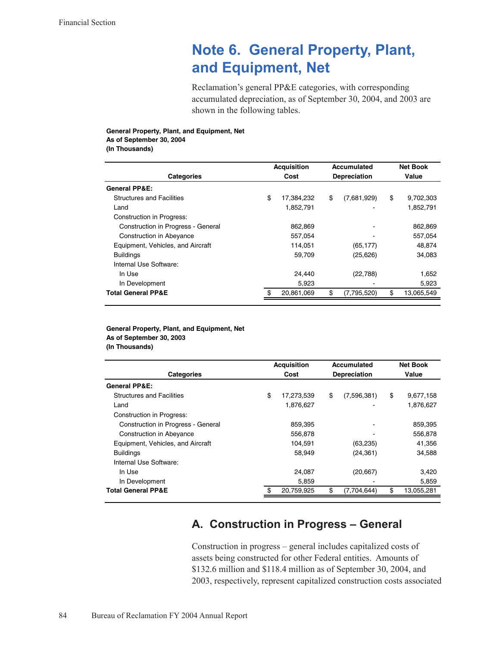# Note 6. General Property, Plant, and Equipment, Net

Reclamation's general PP&E categories, with corresponding accumulated depreciation, as of September 30, 2004, and 2003 are shown in the following tables.

#### General Property, Plant, and Equipment, Net As of September 30, 2004 (In Thousands)

**Net Book Acquisition Accumulated** Categories Cost Depreciation Value **General PP&E: Structures and Facilities** \$ 17,384,232 \$  $(7,681,929)$ \$ 9,702,303 1,852,791 Land 1,852,791 **Construction in Progress:** Construction in Progress - General 862,869 862,869 Construction in Abeyance 557,054 557,054 Equipment, Vehicles, and Aircraft 114,051  $(65, 177)$ 48,874 **Buildings** 59,709  $(25, 626)$ 34,083 Internal Use Software: In Use 24,440  $(22, 788)$ 1,652 5,923 5,923 In Development **Total General PP&E** 20,861,069 \$  $(7, 795, 520)$ 13,065,549

#### General Property, Plant, and Equipment, Net As of September 30, 2003 (In Thousands)

|                                           | <b>Acquisition</b> |            | <b>Accumulated</b>  | <b>Net Book</b> |            |
|-------------------------------------------|--------------------|------------|---------------------|-----------------|------------|
| <b>Categories</b>                         |                    | Cost       | <b>Depreciation</b> |                 | Value      |
| <b>General PP&amp;E:</b>                  |                    |            |                     |                 |            |
| <b>Structures and Facilities</b>          | \$                 | 17,273,539 | \$<br>(7,596,381)   | \$              | 9,677,158  |
| Land                                      |                    | 1,876,627  |                     |                 | 1,876,627  |
| Construction in Progress:                 |                    |            |                     |                 |            |
| <b>Construction in Progress - General</b> |                    | 859,395    |                     |                 | 859.395    |
| <b>Construction in Abeyance</b>           |                    | 556.878    |                     |                 | 556.878    |
| Equipment, Vehicles, and Aircraft         |                    | 104.591    | (63, 235)           |                 | 41.356     |
| <b>Buildings</b>                          |                    | 58,949     | (24, 361)           |                 | 34,588     |
| Internal Use Software:                    |                    |            |                     |                 |            |
| In Use                                    |                    | 24.087     | (20, 667)           |                 | 3.420      |
| In Development                            |                    | 5.859      |                     |                 | 5,859      |
| <b>Total General PP&amp;E</b>             |                    | 20,759,925 | \$<br>(7,704,644)   | \$              | 13,055,281 |

# A. Construction in Progress - General

Construction in progress – general includes capitalized costs of assets being constructed for other Federal entities. Amounts of \$132.6 million and \$118.4 million as of September 30, 2004, and 2003, respectively, represent capitalized construction costs associated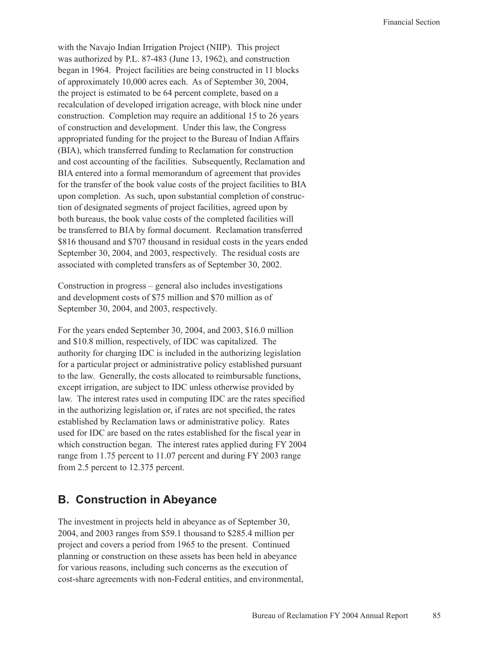with the Navajo Indian Irrigation Project (NIIP). This project was authorized by P.L. 87-483 (June 13, 1962), and construction began in 1964. Project facilities are being constructed in 11 blocks of approximately 10,000 acres each. As of September 30, 2004, the project is estimated to be 64 percent complete, based on a recalculation of developed irrigation acreage, with block nine under construction. Completion may require an additional 15 to 26 years of construction and development. Under this law, the Congress appropriated funding for the project to the Bureau of Indian Affairs (BIA), which transferred funding to Reclamation for construction and cost accounting of the facilities. Subsequently, Reclamation and BIA entered into a formal memorandum of agreement that provides for the transfer of the book value costs of the project facilities to BIA upon completion. As such, upon substantial completion of construction of designated segments of project facilities, agreed upon by both bureaus, the book value costs of the completed facilities will be transferred to BIA by formal document. Reclamation transferred \$816 thousand and \$707 thousand in residual costs in the years ended September 30, 2004, and 2003, respectively. The residual costs are associated with completed transfers as of September 30, 2002.

Construction in progress – general also includes investigations and development costs of \$75 million and \$70 million as of September 30, 2004, and 2003, respectively.

For the years ended September 30, 2004, and 2003, \$16.0 million and \$10.8 million, respectively, of IDC was capitalized. The authority for charging IDC is included in the authorizing legislation for a particular project or administrative policy established pursuant to the law. Generally, the costs allocated to reimbursable functions, except irrigation, are subject to IDC unless otherwise provided by law. The interest rates used in computing IDC are the rates specified in the authorizing legislation or, if rates are not specified, the rates established by Reclamation laws or administrative policy. Rates used for IDC are based on the rates established for the fiscal year in which construction began. The interest rates applied during FY 2004 range from 1.75 percent to 11.07 percent and during FY 2003 range from 2.5 percent to 12.375 percent.

### **B. Construction in Abeyance**

The investment in projects held in abeyance as of September 30, 2004, and 2003 ranges from \$59.1 thousand to \$285.4 million per project and covers a period from 1965 to the present. Continued planning or construction on these assets has been held in abeyance for various reasons, including such concerns as the execution of cost-share agreements with non-Federal entities, and environmental,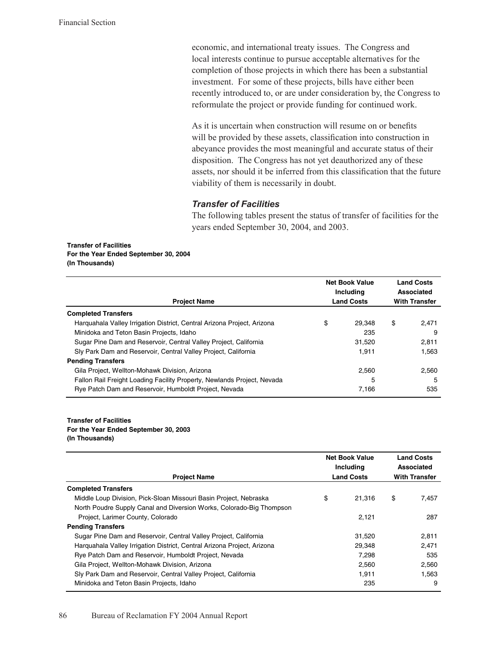economic, and international treaty issues. The Congress and local interests continue to pursue acceptable alternatives for the completion of those projects in which there has been a substantial investment. For some of these projects, bills have either been recently introduced to, or are under consideration by, the Congress to reformulate the project or provide funding for continued work.

As it is uncertain when construction will resume on or benefits will be provided by these assets, classification into construction in abeyance provides the most meaningful and accurate status of their disposition. The Congress has not yet deauthorized any of these assets, nor should it be inferred from this classification that the future viability of them is necessarily in doubt.

#### **Transfer of Facilities**

The following tables present the status of transfer of facilities for the years ended September 30, 2004, and 2003.

#### **Transfer of Facilities** For the Year Ended September 30, 2004 (In Thousands)

| <b>Project Name</b>                                                     | <b>Net Book Value</b><br>Including<br><b>Land Costs</b> | <b>Land Costs</b><br>Associated<br><b>With Transfer</b> |  |
|-------------------------------------------------------------------------|---------------------------------------------------------|---------------------------------------------------------|--|
| <b>Completed Transfers</b>                                              |                                                         |                                                         |  |
| Harguahala Valley Irrigation District, Central Arizona Project, Arizona | \$<br>29.348                                            | \$<br>2.471                                             |  |
| Minidoka and Teton Basin Projects, Idaho                                | 235                                                     | 9                                                       |  |
| Sugar Pine Dam and Reservoir, Central Valley Project, California        | 31.520                                                  | 2.811                                                   |  |
| Sly Park Dam and Reservoir, Central Valley Project, California          | 1.911                                                   | 1.563                                                   |  |
| <b>Pending Transfers</b>                                                |                                                         |                                                         |  |
| Gila Project, Wellton-Mohawk Division, Arizona                          | 2.560                                                   | 2.560                                                   |  |
| Fallon Rail Freight Loading Facility Property, Newlands Project, Nevada | 5                                                       | 5                                                       |  |
| Rye Patch Dam and Reservoir, Humboldt Project, Nevada                   | 7.166                                                   | 535                                                     |  |

#### **Transfer of Facilities** For the Year Ended September 30, 2003 (In Thousands)

| <b>Project Name</b>                                                     | <b>Net Book Value</b><br>Including<br><b>Land Costs</b> | <b>Land Costs</b><br>Associated<br><b>With Transfer</b> |       |
|-------------------------------------------------------------------------|---------------------------------------------------------|---------------------------------------------------------|-------|
| <b>Completed Transfers</b>                                              |                                                         |                                                         |       |
| Middle Loup Division, Pick-Sloan Missouri Basin Project, Nebraska       | \$<br>21.316                                            | \$                                                      | 7,457 |
| North Poudre Supply Canal and Diversion Works, Colorado-Big Thompson    |                                                         |                                                         |       |
| Project, Larimer County, Colorado                                       | 2.121                                                   |                                                         | 287   |
| <b>Pending Transfers</b>                                                |                                                         |                                                         |       |
| Sugar Pine Dam and Reservoir, Central Valley Project, California        | 31.520                                                  |                                                         | 2.811 |
| Harguahala Valley Irrigation District, Central Arizona Project, Arizona | 29,348                                                  |                                                         | 2,471 |
| Rye Patch Dam and Reservoir, Humboldt Project, Nevada                   | 7,298                                                   |                                                         | 535   |
| Gila Project, Wellton-Mohawk Division, Arizona                          | 2,560                                                   |                                                         | 2,560 |
| Sly Park Dam and Reservoir, Central Valley Project, California          | 1.911                                                   |                                                         | 1.563 |
| Minidoka and Teton Basin Projects, Idaho                                | 235                                                     |                                                         | 9     |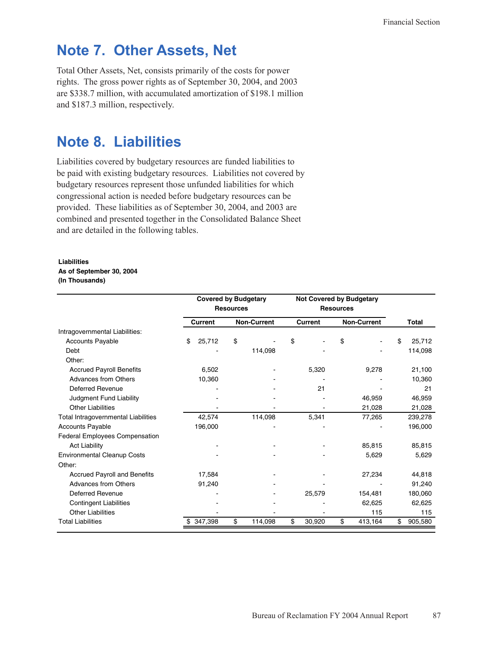# **Note 7. Other Assets, Net**

Total Other Assets, Net, consists primarily of the costs for power rights. The gross power rights as of September 30, 2004, and 2003 are \$338.7 million, with accumulated amortization of \$198.1 million and \$187.3 million, respectively.

# Note 8. Liabilities

Liabilities covered by budgetary resources are funded liabilities to be paid with existing budgetary resources. Liabilities not covered by budgetary resources represent those unfunded liabilities for which congressional action is needed before budgetary resources can be provided. These liabilities as of September 30, 2004, and 2003 are combined and presented together in the Consolidated Balance Sheet and are detailed in the following tables.

#### **Liabilities**

### As of September 30, 2004

#### (In Thousands)

|                                     |                | <b>Covered by Budgetary</b><br><b>Resources</b> | <b>Not Covered by Budgetary</b><br><b>Resources</b> |                    |               |
|-------------------------------------|----------------|-------------------------------------------------|-----------------------------------------------------|--------------------|---------------|
|                                     | <b>Current</b> | <b>Non-Current</b>                              | <b>Current</b>                                      | <b>Non-Current</b> | <b>Total</b>  |
| Intragovernmental Liabilities:      |                |                                                 |                                                     |                    |               |
| <b>Accounts Payable</b>             | \$<br>25,712   | \$                                              | \$                                                  | \$                 | 25,712        |
| Debt                                |                | 114,098                                         |                                                     |                    | 114,098       |
| Other:                              |                |                                                 |                                                     |                    |               |
| <b>Accrued Payroll Benefits</b>     | 6,502          |                                                 | 5,320                                               | 9,278              | 21,100        |
| <b>Advances from Others</b>         | 10,360         |                                                 |                                                     |                    | 10,360        |
| <b>Deferred Revenue</b>             |                |                                                 | 21                                                  |                    | 21            |
| Judgment Fund Liability             |                |                                                 |                                                     | 46,959             | 46,959        |
| <b>Other Liabilities</b>            |                |                                                 |                                                     | 21,028             | 21,028        |
| Total Intragovernmental Liabilities | 42,574         | 114,098                                         | 5,341                                               | 77,265             | 239,278       |
| <b>Accounts Payable</b>             | 196,000        |                                                 |                                                     |                    | 196,000       |
| Federal Employees Compensation      |                |                                                 |                                                     |                    |               |
| <b>Act Liability</b>                |                |                                                 |                                                     | 85,815             | 85,815        |
| <b>Environmental Cleanup Costs</b>  |                |                                                 |                                                     | 5,629              | 5,629         |
| Other:                              |                |                                                 |                                                     |                    |               |
| <b>Accrued Payroll and Benefits</b> | 17,584         |                                                 |                                                     | 27,234             | 44,818        |
| <b>Advances from Others</b>         | 91,240         |                                                 |                                                     |                    | 91,240        |
| <b>Deferred Revenue</b>             |                |                                                 | 25,579                                              | 154,481            | 180,060       |
| <b>Contingent Liabilities</b>       |                |                                                 |                                                     | 62,625             | 62,625        |
| <b>Other Liabilities</b>            |                |                                                 |                                                     | 115                | 115           |
| <b>Total Liabilities</b>            | 347,398        | \$<br>114,098                                   | \$<br>30,920                                        | \$<br>413,164      | \$<br>905,580 |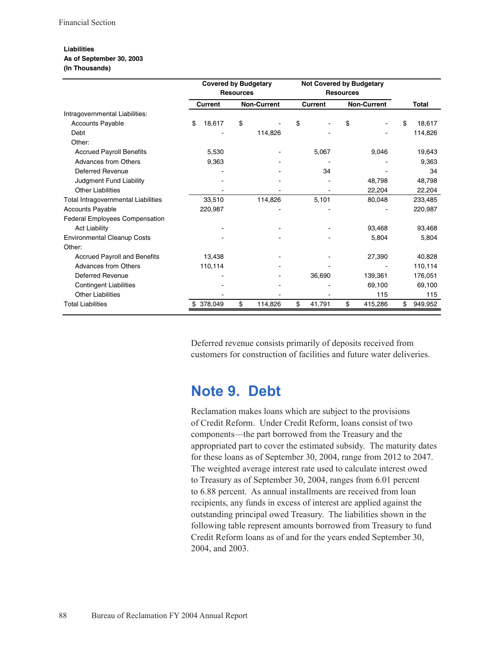#### **Liabilities** As of September 30, 2003

#### (In Thousands)

|                                       | <b>Covered by Budgetary</b><br><b>Resources</b> |                    | <b>Not Covered by Budgetary</b><br><b>Resources</b> |                    |               |
|---------------------------------------|-------------------------------------------------|--------------------|-----------------------------------------------------|--------------------|---------------|
|                                       | <b>Current</b>                                  | <b>Non-Current</b> | <b>Current</b>                                      | <b>Non-Current</b> | <b>Total</b>  |
| Intragovernmental Liabilities:        |                                                 |                    |                                                     |                    |               |
| <b>Accounts Payable</b>               | \$<br>18,617                                    | \$                 | \$                                                  | \$                 | 18,617        |
| Debt                                  |                                                 | 114,826            |                                                     |                    | 114,826       |
| Other:                                |                                                 |                    |                                                     |                    |               |
| <b>Accrued Payroll Benefits</b>       | 5,530                                           |                    | 5,067                                               | 9,046              | 19,643        |
| <b>Advances from Others</b>           | 9,363                                           |                    |                                                     |                    | 9,363         |
| Deferred Revenue                      |                                                 |                    | 34                                                  |                    | 34            |
| Judgment Fund Liability               |                                                 |                    |                                                     | 48,798             | 48,798        |
| <b>Other Liabilities</b>              |                                                 |                    |                                                     | 22,204             | 22,204        |
| Total Intragovernmental Liabilities   | 33,510                                          | 114,826            | 5,101                                               | 80,048             | 233,485       |
| <b>Accounts Payable</b>               | 220,987                                         |                    |                                                     |                    | 220,987       |
| <b>Federal Employees Compensation</b> |                                                 |                    |                                                     |                    |               |
| <b>Act Liability</b>                  |                                                 |                    |                                                     | 93,468             | 93,468        |
| <b>Environmental Cleanup Costs</b>    |                                                 |                    |                                                     | 5,804              | 5,804         |
| Other:                                |                                                 |                    |                                                     |                    |               |
| <b>Accrued Payroll and Benefits</b>   | 13,438                                          |                    |                                                     | 27,390             | 40,828        |
| <b>Advances from Others</b>           | 110,114                                         |                    |                                                     |                    | 110,114       |
| Deferred Revenue                      |                                                 |                    | 36,690                                              | 139,361            | 176,051       |
| <b>Contingent Liabilities</b>         |                                                 |                    |                                                     | 69,100             | 69,100        |
| <b>Other Liabilities</b>              |                                                 |                    |                                                     | 115                | 115           |
| <b>Total Liabilities</b>              | 378,049<br>\$.                                  | \$<br>114,826      | \$<br>41,791                                        | \$<br>415,286      | \$<br>949,952 |

Deferred revenue consists primarily of deposits received from customers for construction of facilities and future water deliveries.

# Note 9. Debt

Reclamation makes loans which are subject to the provisions of Credit Reform. Under Credit Reform, loans consist of two components—the part borrowed from the Treasury and the appropriated part to cover the estimated subsidy. The maturity dates for these loans as of September 30, 2004, range from 2012 to 2047. The weighted average interest rate used to calculate interest owed to Treasury as of September 30, 2004, ranges from 6.01 percent to 6.88 percent. As annual installments are received from loan recipients, any funds in excess of interest are applied against the outstanding principal owed Treasury. The liabilities shown in the following table represent amounts borrowed from Treasury to fund Credit Reform loans as of and for the years ended September 30, 2004, and 2003.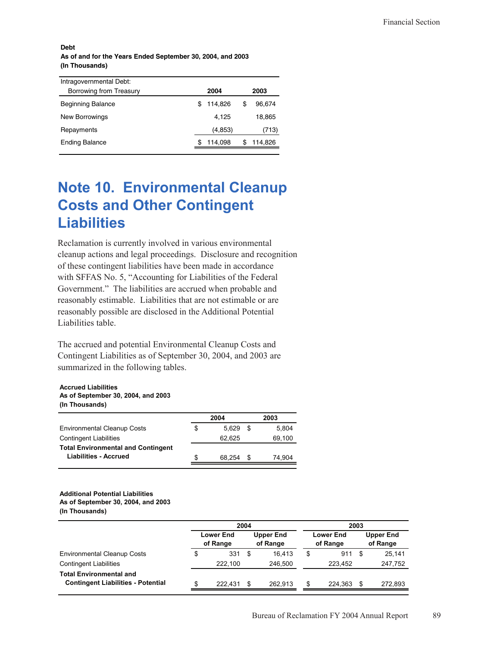#### **Debt** As of and for the Years Ended September 30, 2004, and 2003 (In Thousands)

| Intragovernmental Debt:  |   |          |   |         |
|--------------------------|---|----------|---|---------|
| Borrowing from Treasury  |   | 2004     |   | 2003    |
| <b>Beginning Balance</b> | S | 114.826  | S | 96.674  |
| New Borrowings           |   | 4.125    |   | 18,865  |
| Repayments               |   | (4, 853) |   | (713)   |
| <b>Ending Balance</b>    |   | 114,098  |   | 114,826 |
|                          |   |          |   |         |

# **Note 10. Environmental Cleanup Costs and Other Contingent Liabilities**

Reclamation is currently involved in various environmental cleanup actions and legal proceedings. Disclosure and recognition of these contingent liabilities have been made in accordance with SFFAS No. 5, "Accounting for Liabilities of the Federal Government." The liabilities are accrued when probable and reasonably estimable. Liabilities that are not estimable or are reasonably possible are disclosed in the Additional Potential Liabilities table.

The accrued and potential Environmental Cleanup Costs and Contingent Liabilities as of September 30, 2004, and 2003 are summarized in the following tables.

#### **Accrued Liabilities** As of September 30, 2004, and 2003 (In Thousands)

|                                           |   | 2004   |   | 2003   |
|-------------------------------------------|---|--------|---|--------|
| <b>Environmental Cleanup Costs</b>        | S | 5.629  | S | 5,804  |
| <b>Contingent Liabilities</b>             |   | 62.625 |   | 69,100 |
| <b>Total Environmental and Contingent</b> |   |        |   |        |
| <b>Liabilities - Accrued</b>              | S | 68.254 | S | 74.904 |
|                                           |   |        |   |        |

#### **Additional Potential Liabilities** As of September 30, 2004, and 2003 (In Thousands)

|                                                                             |                       | 2004    |                              |         |                              | 2003    |                              |         |  |  |
|-----------------------------------------------------------------------------|-----------------------|---------|------------------------------|---------|------------------------------|---------|------------------------------|---------|--|--|
|                                                                             | Lower End<br>of Range |         | <b>Upper End</b><br>of Range |         | <b>Lower End</b><br>of Range |         | <b>Upper End</b><br>of Range |         |  |  |
| <b>Environmental Cleanup Costs</b>                                          | \$                    | 331     | \$                           | 16.413  | \$                           | 911     |                              | 25,141  |  |  |
| <b>Contingent Liabilities</b>                                               |                       | 222.100 |                              | 246.500 |                              | 223.452 |                              | 247,752 |  |  |
| <b>Total Environmental and</b><br><b>Contingent Liabilities - Potential</b> | \$                    | 222.431 | \$                           | 262.913 | \$.                          | 224.363 |                              | 272.893 |  |  |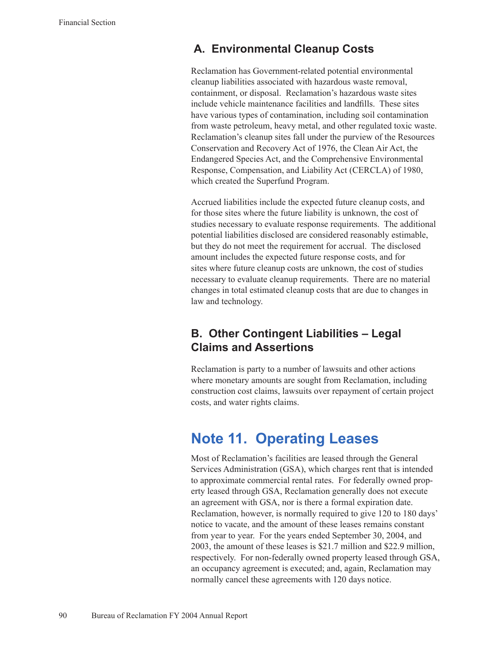### **A. Environmental Cleanup Costs**

Reclamation has Government-related potential environmental cleanup liabilities associated with hazardous waste removal, containment, or disposal. Reclamation's hazardous waste sites include vehicle maintenance facilities and landfills. These sites have various types of contamination, including soil contamination from waste petroleum, heavy metal, and other regulated toxic waste. Reclamation's cleanup sites fall under the purview of the Resources Conservation and Recovery Act of 1976, the Clean Air Act, the Endangered Species Act, and the Comprehensive Environmental Response, Compensation, and Liability Act (CERCLA) of 1980, which created the Superfund Program.

Accrued liabilities include the expected future cleanup costs, and for those sites where the future liability is unknown, the cost of studies necessary to evaluate response requirements. The additional potential liabilities disclosed are considered reasonably estimable, but they do not meet the requirement for accrual. The disclosed amount includes the expected future response costs, and for sites where future cleanup costs are unknown, the cost of studies necessary to evaluate cleanup requirements. There are no material changes in total estimated cleanup costs that are due to changes in law and technology.

# **B. Other Contingent Liabilities – Legal Claims and Assertions**

Reclamation is party to a number of lawsuits and other actions where monetary amounts are sought from Reclamation, including construction cost claims, lawsuits over repayment of certain project costs, and water rights claims.

# **Note 11. Operating Leases**

Most of Reclamation's facilities are leased through the General Services Administration (GSA), which charges rent that is intended to approximate commercial rental rates. For federally owned property leased through GSA, Reclamation generally does not execute an agreement with GSA, nor is there a formal expiration date. Reclamation, however, is normally required to give 120 to 180 days' notice to vacate, and the amount of these leases remains constant from year to year. For the years ended September 30, 2004, and 2003, the amount of these leases is \$21.7 million and \$22.9 million, respectively. For non-federally owned property leased through GSA, an occupancy agreement is executed; and, again, Reclamation may normally cancel these agreements with 120 days notice.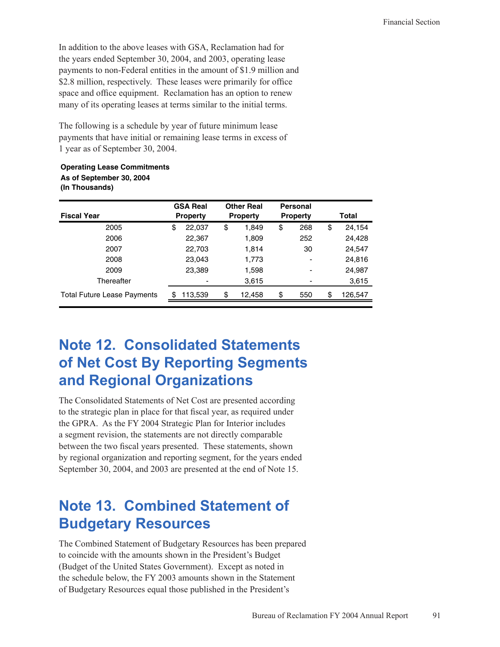In addition to the above leases with GSA, Reclamation had for the years ended September 30, 2004, and 2003, operating lease payments to non-Federal entities in the amount of \$1.9 million and \$2.8 million, respectively. These leases were primarily for office space and office equipment. Reclamation has an option to renew many of its operating leases at terms similar to the initial terms.

The following is a schedule by year of future minimum lease payments that have initial or remaining lease terms in excess of 1 year as of September 30, 2004.

#### **Operating Lease Commitments** As of September 30, 2004 (In Thousands)

| <b>GSA Real</b> | <b>Other Real</b> | <b>Personal</b> |                 |
|-----------------|-------------------|-----------------|-----------------|
|                 |                   |                 | Total           |
| 22,037<br>\$    | \$<br>1,849       | \$<br>268       | \$<br>24,154    |
| 22,367          | 1,809             | 252             | 24,428          |
| 22,703          | 1,814             | 30              | 24,547          |
| 23,043          | 1,773             |                 | 24,816          |
| 23,389          | 1,598             |                 | 24,987          |
|                 | 3,615             |                 | 3,615           |
| \$<br>113,539   | \$<br>12,458      | \$<br>550       | \$<br>126,547   |
|                 | <b>Property</b>   | <b>Property</b> | <b>Property</b> |

# **Note 12. Consolidated Statements** of Net Cost By Reporting Segments and Regional Organizations

The Consolidated Statements of Net Cost are presented according to the strategic plan in place for that fiscal year, as required under the GPRA. As the FY 2004 Strategic Plan for Interior includes a segment revision, the statements are not directly comparable between the two fiscal years presented. These statements, shown by regional organization and reporting segment, for the years ended September 30, 2004, and 2003 are presented at the end of Note 15.

# **Note 13. Combined Statement of Budgetary Resources**

The Combined Statement of Budgetary Resources has been prepared to coincide with the amounts shown in the President's Budget (Budget of the United States Government). Except as noted in the schedule below, the FY 2003 amounts shown in the Statement of Budgetary Resources equal those published in the President's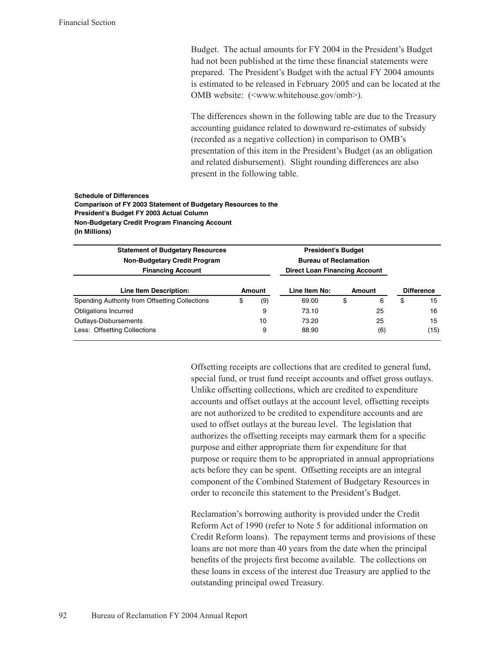Budget. The actual amounts for FY 2004 in the President's Budget had not been published at the time these financial statements were prepared. The President's Budget with the actual FY 2004 amounts is estimated to be released in February 2005 and can be located at the OMB website: (<www.whitehouse.gov/omb>).

The differences shown in the following table are due to the Treasury accounting guidance related to downward re-estimates of subsidy (recorded as a negative collection) in comparison to OMB's presentation of this item in the President's Budget (as an obligation and related disbursement). Slight rounding differences are also present in the following table.

#### **Schedule of Differences** Comparison of FY 2003 Statement of Budgetary Resources to the President's Budget FY 2003 Actual Column Non-Budgetary Credit Program Financing Account (In Millions)

| <b>Statement of Budgetary Resources</b><br><b>Non-Budgetary Credit Program</b><br><b>Financing Account</b> |        |     | <b>President's Budget</b><br><b>Bureau of Reclamation</b><br><b>Direct Loan Financing Account</b> |        |     |                   |      |
|------------------------------------------------------------------------------------------------------------|--------|-----|---------------------------------------------------------------------------------------------------|--------|-----|-------------------|------|
| Line Item Description:                                                                                     | Amount |     | Line Item No:                                                                                     | Amount |     | <b>Difference</b> |      |
| Spending Authority from Offsetting Collections                                                             | \$     | (9) | 69.00                                                                                             | \$     | 6   | \$                | 15   |
| Obligations Incurred                                                                                       |        | 9   | 73.10                                                                                             |        | 25  |                   | 16   |
| Outlays-Disbursements                                                                                      |        | 10  | 73.20                                                                                             |        | 25  |                   | 15   |
| Less: Offsetting Collections                                                                               |        | 9   | 88.90                                                                                             |        | (6) |                   | (15) |

Offsetting receipts are collections that are credited to general fund, special fund, or trust fund receipt accounts and offset gross outlays. Unlike offsetting collections, which are credited to expenditure accounts and offset outlays at the account level, offsetting receipts are not authorized to be credited to expenditure accounts and are used to offset outlays at the bureau level. The legislation that authorizes the offsetting receipts may earmark them for a specific purpose and either appropriate them for expenditure for that purpose or require them to be appropriated in annual appropriations acts before they can be spent. Offsetting receipts are an integral component of the Combined Statement of Budgetary Resources in order to reconcile this statement to the President's Budget.

Reclamation's borrowing authority is provided under the Credit Reform Act of 1990 (refer to Note 5 for additional information on Credit Reform loans). The repayment terms and provisions of these loans are not more than 40 years from the date when the principal benefits of the projects first become available. The collections on these loans in excess of the interest due Treasury are applied to the outstanding principal owed Treasury.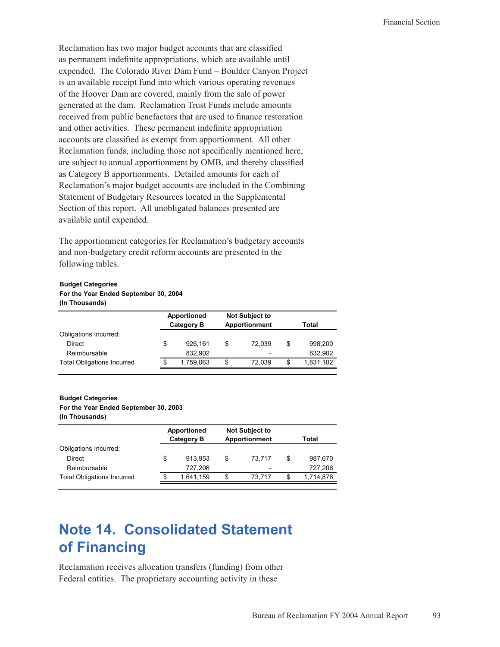Reclamation has two major budget accounts that are classified as permanent indefinite appropriations, which are available until expended. The Colorado River Dam Fund – Boulder Canyon Project is an available receipt fund into which various operating revenues of the Hoover Dam are covered, mainly from the sale of power generated at the dam. Reclamation Trust Funds include amounts received from public benefactors that are used to finance restoration and other activities. These permanent indefinite appropriation accounts are classified as exempt from apportionment. All other Reclamation funds, including those not specifically mentioned here, are subject to annual apportionment by OMB, and thereby classified as Category B apportionments. Detailed amounts for each of Reclamation's major budget accounts are included in the Combining Statement of Budgetary Resources located in the Supplemental Section of this report. All unobligated balances presented are available until expended.

The apportionment categories for Reclamation's budgetary accounts and non-budgetary credit reform accounts are presented in the following tables.

# **Budget Categories**

#### **(In Thousands) For the Year Ended September 30, 2004**

|                                   | <b>Apportioned</b><br><b>Category B</b> |    | <b>Not Subject to</b><br><b>Apportionment</b> |    | Total     |
|-----------------------------------|-----------------------------------------|----|-----------------------------------------------|----|-----------|
| Obligations Incurred:             |                                         |    |                                               |    |           |
| Direct                            | \$<br>926.161                           | \$ | 72.039                                        | \$ | 998.200   |
| Reimbursable                      | 832.902                                 |    | $\overline{\phantom{0}}$                      |    | 832,902   |
| <b>Total Obligations Incurred</b> | \$<br>1,759,063                         | \$ | 72.039                                        | S  | 1,831,102 |

#### **Budget Categories**

### **For the Year Ended September 30, 2003**

**(In Thousands)**

| Apportioned<br><b>Category B</b> |    | <b>Not Subject to</b><br>Apportionment |    | Total     |
|----------------------------------|----|----------------------------------------|----|-----------|
|                                  |    |                                        |    |           |
| \$<br>913.953                    | \$ | 73.717                                 | \$ | 987,670   |
| 727.206                          |    |                                        |    | 727,206   |
| \$<br>1,641,159                  | \$ | 73.717                                 | S  | 1,714,876 |
|                                  |    |                                        |    |           |

# **Note 14. Consolidated Statement of Financing**

Reclamation receives allocation transfers (funding) from other Federal entities. The proprietary accounting activity in these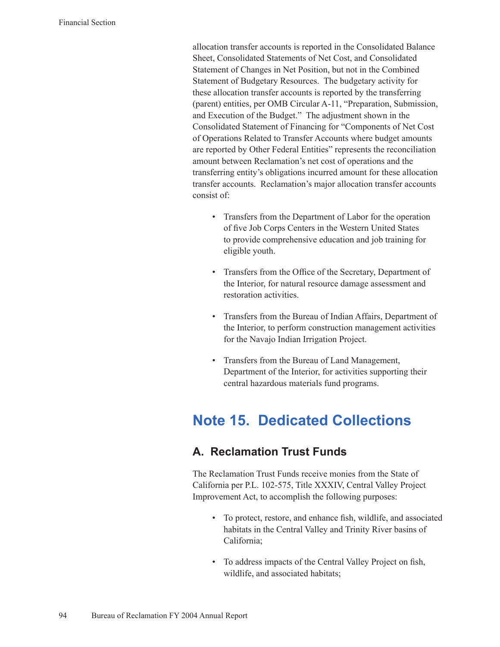allocation transfer accounts is reported in the Consolidated Balance Sheet, Consolidated Statements of Net Cost, and Consolidated Statement of Changes in Net Position, but not in the Combined Statement of Budgetary Resources. The budgetary activity for these allocation transfer accounts is reported by the transferring (parent) entities, per OMB Circular A-11, "Preparation, Submission, and Execution of the Budget." The adjustment shown in the Consolidated Statement of Financing for "Components of Net Cost of Operations Related to Transfer Accounts where budget amounts are reported by Other Federal Entities" represents the reconciliation amount between Reclamation's net cost of operations and the transferring entity's obligations incurred amount for these allocation transfer accounts. Reclamation's major allocation transfer accounts consist of:

- Transfers from the Department of Labor for the operation of five Job Corps Centers in the Western United States to provide comprehensive education and job training for eligible youth.
- Transfers from the Office of the Secretary, Department of the Interior, for natural resource damage assessment and restoration activities.
- Transfers from the Bureau of Indian Affairs, Department of the Interior, to perform construction management activities for the Navajo Indian Irrigation Project.
- Transfers from the Bureau of Land Management, Department of the Interior, for activities supporting their central hazardous materials fund programs.

# **Note 15. Dedicated Collections**

# **A. Reclamation Trust Funds**

The Reclamation Trust Funds receive monies from the State of California per P.L. 102-575, Title XXXIV, Central Valley Project Improvement Act, to accomplish the following purposes:

- To protect, restore, and enhance fish, wildlife, and associated habitats in the Central Valley and Trinity River basins of California;
- To address impacts of the Central Valley Project on fish, wildlife, and associated habitats;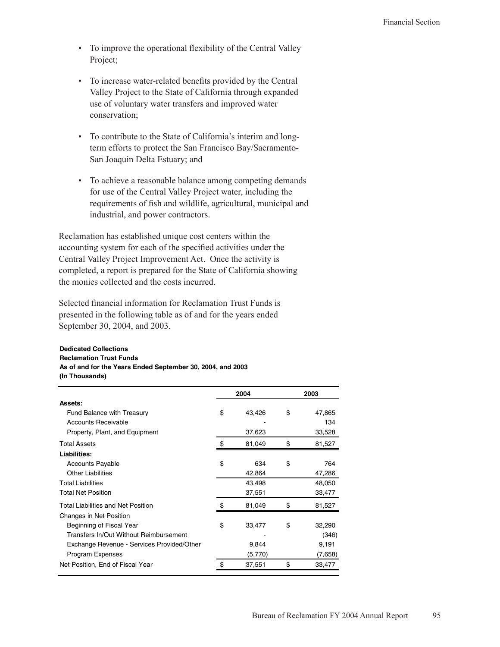- To improve the operational flexibility of the Central Valley Project;
- To increase water-related benefits provided by the Central Valley Project to the State of California through expanded use of voluntary water transfers and improved water conservation;
- To contribute to the State of California's interim and longterm efforts to protect the San Francisco Bay/Sacramento-San Joaquin Delta Estuary; and
- To achieve a reasonable balance among competing demands for use of the Central Valley Project water, including the requirements of fish and wildlife, agricultural, municipal and industrial, and power contractors.

Reclamation has established unique cost centers within the accounting system for each of the specified activities under the Central Valley Project Improvement Act. Once the activity is completed, a report is prepared for the State of California showing the monies collected and the costs incurred.

Selected financial information for Reclamation Trust Funds is presented in the following table as of and for the years ended September 30, 2004, and 2003.

#### **Dedicated Collections Reclamation Trust Funds** As of and for the Years Ended September 30, 2004, and 2003 (In Thousands)

|                                            | 2004         | 2003         |
|--------------------------------------------|--------------|--------------|
| <b>Assets:</b>                             |              |              |
| <b>Fund Balance with Treasury</b>          | \$<br>43,426 | \$<br>47,865 |
| <b>Accounts Receivable</b>                 |              | 134          |
| Property, Plant, and Equipment             | 37,623       | 33,528       |
| <b>Total Assets</b>                        | \$<br>81,049 | \$<br>81,527 |
| Liabilities:                               |              |              |
| <b>Accounts Payable</b>                    | \$<br>634    | \$<br>764    |
| <b>Other Liabilities</b>                   | 42,864       | 47,286       |
| <b>Total Liabilities</b>                   | 43,498       | 48,050       |
| <b>Total Net Position</b>                  | 37,551       | 33,477       |
| <b>Total Liabilities and Net Position</b>  | 81,049       | \$<br>81,527 |
| Changes in Net Position                    |              |              |
| Beginning of Fiscal Year                   | \$<br>33,477 | \$<br>32,290 |
| Transfers In/Out Without Reimbursement     |              | (346)        |
| Exchange Revenue - Services Provided/Other | 9,844        | 9,191        |
| Program Expenses                           | (5,770)      | (7,658)      |
| Net Position, End of Fiscal Year           | 37,551       | \$<br>33,477 |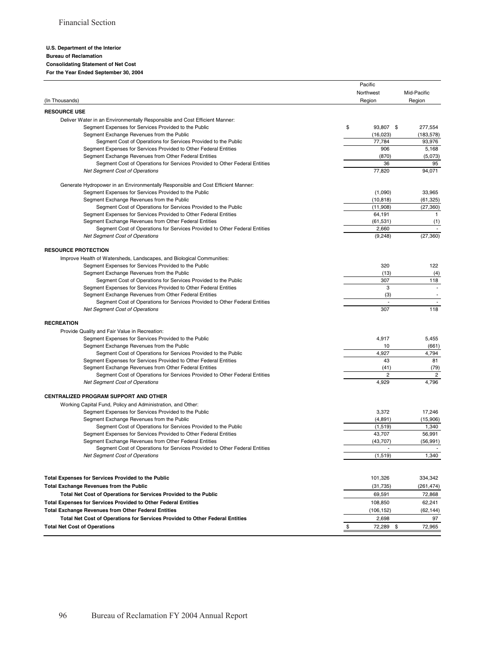#### U.S. Department of the Interior **Bureau of Reclamation Consolidating Statement of Net Cost** For the Year Ended September 30, 2004

|                                                                                  | Pacific                  |                          |
|----------------------------------------------------------------------------------|--------------------------|--------------------------|
|                                                                                  | Northwest                | Mid-Pacific              |
| (In Thousands)                                                                   | Region                   | Region                   |
| <b>RESOURCE USE</b>                                                              |                          |                          |
| Deliver Water in an Environmentally Responsible and Cost Efficient Manner:       |                          |                          |
| Segment Expenses for Services Provided to the Public                             | \$<br>93,807 \$          | 277,554                  |
| Segment Exchange Revenues from the Public                                        | (16, 023)                | (183, 578)               |
| Segment Cost of Operations for Services Provided to the Public                   | 77,784                   | 93,976                   |
| Segment Expenses for Services Provided to Other Federal Entities                 | 906                      | 5,168                    |
| Segment Exchange Revenues from Other Federal Entities                            | (870)                    | (5,073)                  |
| Segment Cost of Operations for Services Provided to Other Federal Entities       | 36                       | 95                       |
| <b>Net Segment Cost of Operations</b>                                            | 77,820                   | 94,071                   |
| Generate Hydropower in an Environmentally Responsible and Cost Efficient Manner: |                          |                          |
| Segment Expenses for Services Provided to the Public                             | (1,090)                  | 33,965                   |
| Segment Exchange Revenues from the Public                                        | (10, 818)                | (61,325)                 |
| Segment Cost of Operations for Services Provided to the Public                   | (11,908)                 | (27, 360)                |
| Segment Expenses for Services Provided to Other Federal Entities                 | 64,191                   | $\mathbf{1}$             |
| Segment Exchange Revenues from Other Federal Entities                            | (61, 531)                | (1)                      |
| Segment Cost of Operations for Services Provided to Other Federal Entities       | 2,660                    | $\overline{\phantom{a}}$ |
| <b>Net Segment Cost of Operations</b>                                            | (9, 248)                 | (27, 360)                |
| <b>RESOURCE PROTECTION</b>                                                       |                          |                          |
| Improve Health of Watersheds, Landscapes, and Biological Communities:            |                          |                          |
| Segment Expenses for Services Provided to the Public                             | 320                      | 122                      |
| Segment Exchange Revenues from the Public                                        | (13)                     | (4)                      |
| Segment Cost of Operations for Services Provided to the Public                   | 307                      | 118                      |
| Segment Expenses for Services Provided to Other Federal Entities                 | 3                        | $\overline{\phantom{a}}$ |
| Segment Exchange Revenues from Other Federal Entities                            | (3)                      | $\overline{\phantom{a}}$ |
| Segment Cost of Operations for Services Provided to Other Federal Entities       | $\overline{\phantom{a}}$ | $\sim$                   |
| <b>Net Segment Cost of Operations</b>                                            | 307                      | 118                      |
| <b>RECREATION</b>                                                                |                          |                          |
| Provide Quality and Fair Value in Recreation:                                    |                          |                          |
| Segment Expenses for Services Provided to the Public                             | 4,917                    | 5,455                    |
| Segment Exchange Revenues from the Public                                        | 10                       | (661)                    |
| Segment Cost of Operations for Services Provided to the Public                   | 4,927                    | 4,794                    |
| Segment Expenses for Services Provided to Other Federal Entities                 | 43                       | 81                       |
| Segment Exchange Revenues from Other Federal Entities                            | (41)                     | (79)                     |
| Segment Cost of Operations for Services Provided to Other Federal Entities       | $\overline{2}$           | $\overline{c}$           |
| <b>Net Segment Cost of Operations</b>                                            | 4,929                    | 4,796                    |
| CENTRALIZED PROGRAM SUPPORT AND OTHER                                            |                          |                          |
| Working Capital Fund, Policy and Administration, and Other:                      |                          |                          |
| Segment Expenses for Services Provided to the Public                             | 3,372                    | 17,246                   |
| Segment Exchange Revenues from the Public                                        | (4,891)                  | (15,906)                 |
| Segment Cost of Operations for Services Provided to the Public                   | (1, 519)                 | 1,340                    |
| Segment Expenses for Services Provided to Other Federal Entities                 | 43,707                   | 56,991                   |
| Segment Exchange Revenues from Other Federal Entities                            | (43, 707)                | (56, 991)                |
| Segment Cost of Operations for Services Provided to Other Federal Entities       |                          |                          |
| <b>Net Segment Cost of Operations</b>                                            | (1,519)                  | 1,340                    |
|                                                                                  |                          |                          |
| <b>Total Expenses for Services Provided to the Public</b>                        | 101,326                  | 334,342                  |
| <b>Total Exchange Revenues from the Public</b>                                   | (31, 735)                | (261,474)                |
| Total Net Cost of Operations for Services Provided to the Public                 | 69,591                   | 72,868                   |
| <b>Total Expenses for Services Provided to Other Federal Entities</b>            | 108,850                  | 62,241                   |
| <b>Total Exchange Revenues from Other Federal Entities</b>                       | (106, 152)               | (62,144)                 |
| Total Net Cost of Operations for Services Provided to Other Federal Entities     | 2,698                    | 97                       |
| <b>Total Net Cost of Operations</b>                                              | \$<br>72,289 \$          | 72,965                   |

 $\blacksquare$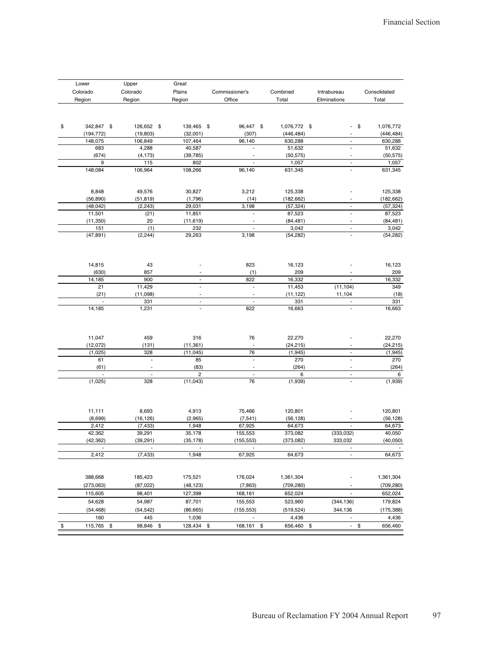| Lower            | Upper           | Great                         |                                                      |                  |                          |                 |
|------------------|-----------------|-------------------------------|------------------------------------------------------|------------------|--------------------------|-----------------|
| Colorado         | Colorado        | Plains                        | Commissioner's                                       | Combined         | Intrabureau              | Consolidated    |
| Region           | Region          | Region                        | Office                                               | Total            | Eliminations             | Total           |
|                  |                 |                               |                                                      |                  |                          |                 |
| \$<br>342,847 \$ | 126,652 \$      | 139,465 \$                    | 96,447 \$                                            | 1,076,772 \$     | $\overline{\phantom{a}}$ | \$<br>1,076,772 |
| (194, 772)       | (19, 803)       | (32,001)                      | (307)                                                | (446, 484)       |                          | (446, 484)      |
| 148,075          | 106,849         | 107,464                       | 96,140                                               | 630,288          | $\overline{\phantom{a}}$ | 630,288         |
| 683              | 4,288           | 40,587                        |                                                      | 51,632           | ÷,                       | 51,632          |
| (674)            | (4, 173)        | (39, 785)                     |                                                      | (50, 575)        | $\overline{a}$           | (50, 575)       |
| 9                | 115             | 802                           | $\blacksquare$                                       | 1,057            | $\overline{a}$           | 1,057           |
| 148,084          | 106,964         | 108,266                       | 96,140                                               | 631,345          | $\blacksquare$           | 631,345         |
| 8,848            | 49,576          | 30,827                        | 3,212                                                | 125,338          |                          | 125,338         |
| (56, 890)        | (51,819)        | (1,796)                       | (14)                                                 | (182, 662)       | $\overline{\phantom{a}}$ | (182, 662)      |
| (48, 042)        | (2, 243)        | 29,031                        | 3,198                                                | (57, 324)        | $\blacksquare$           | (57, 324)       |
| 11,501           | (21)            | 11,851                        | $\overline{a}$                                       | 87,523           | $\frac{1}{2}$            | 87,523          |
| (11, 350)        | 20              | (11, 619)                     | $\overline{\phantom{a}}$                             | (84, 481)        | $\overline{\phantom{a}}$ | (84, 481)       |
| 151              | (1)             | 232                           | $\overline{\phantom{a}}$                             | 3,042            | $\overline{\phantom{a}}$ | 3,042           |
| (47, 891)        | (2, 244)        | 29,263                        | 3,198                                                | (54, 282)        | $\overline{a}$           | (54, 282)       |
|                  |                 | $\overline{a}$                | 823                                                  |                  |                          |                 |
| 14,815           | 43              |                               |                                                      | 16,123           | ٠                        | 16,123          |
| (630)            | 857             | $\overline{\phantom{a}}$      | (1)                                                  | 209              | $\blacksquare$           | 209<br>16,332   |
| 14,185<br>21     | 900<br>11,429   | $\overline{a}$                | 822<br>$\overline{\phantom{a}}$                      | 16,332<br>11,453 | (11, 104)                | 349             |
| (21)             |                 |                               |                                                      | (11, 122)        |                          |                 |
|                  | (11,098)<br>331 | $\overline{\phantom{a}}$<br>٠ | $\overline{\phantom{a}}$<br>$\overline{\phantom{a}}$ | 331              | 11,104<br>$\overline{a}$ | (18)<br>331     |
| 14,185           | 1,231           | $\overline{\phantom{a}}$      | 822                                                  | 16,663           | $\overline{\phantom{a}}$ | 16,663          |
|                  |                 |                               |                                                      |                  |                          |                 |
| 11,047           | 459             | 316                           | 76                                                   | 22,270           |                          | 22,270          |
| (12,072)         | (131)           | (11, 361)                     |                                                      | (24, 215)        |                          | (24, 215)       |
| (1,025)          | 328             | (11, 045)                     | 76                                                   | (1, 945)         | $\blacksquare$           | (1, 945)        |
| 61               | $\overline{a}$  | 85                            | $\overline{\phantom{a}}$                             | 270              |                          | 270             |
| (61)             | ÷,              | (83)                          | $\overline{\phantom{a}}$                             | (264)            | $\overline{\phantom{a}}$ | (264)           |
|                  |                 | $\overline{c}$                | $\overline{\phantom{a}}$                             | 6                |                          | 6               |
| (1,025)          | 328             | (11, 043)                     | 76                                                   | (1,939)          | $\overline{\phantom{a}}$ | (1,939)         |
| 11,111           | 8,693           | 4,913                         | 75,466                                               | 120,801          |                          | 120,801         |
| (8,699)          | (16, 126)       | (2,965)                       | (7, 541)                                             | (56, 128)        |                          | (56, 128)       |
| 2,412            | (7, 433)        | 1,948                         | 67,925                                               | 64,673           |                          | 64,673          |
| 42,362           | 39,291          | 35,178                        | 155,553                                              | 373,082          | (333, 032)               | 40,050          |
| (42, 362)        | (39, 291)       | (35, 178)                     | (155, 553)                                           | (373,082)        | 333,032                  | (40,050)        |
| 2,412            | (7, 433)        | 1,948                         | 67,925                                               | 64,673           | $\frac{1}{2}$            | 64,673          |
|                  |                 |                               |                                                      |                  |                          |                 |
| 388,668          | 185,423         | 175,521                       | 176,024                                              | 1,361,304        |                          | 1,361,304       |
| (273,063)        | (87, 022)       | (48, 123)                     | (7, 863)                                             | (709, 280)       |                          | (709, 280)      |
| 115,605          | 98,401          | 127,398                       | 168,161                                              | 652,024          |                          | 652,024         |
| 54,628           | 54,987          | 87,701                        | 155,553                                              | 523,960          | (344, 136)               | 179,824         |
| (54, 468)        | (54,542)        | (86, 665)                     | (155, 553)                                           | (519, 524)       | 344,136                  | (175, 388)      |
| 160              | 445             | 1,036                         |                                                      | 4,436            |                          | 4,436           |
| 115,765<br>\$    | 98,846<br>\$    | 128,434                       | 168,161 \$<br>\$                                     | 656,460<br>\$    | $\sim$                   | 656,460<br>\$   |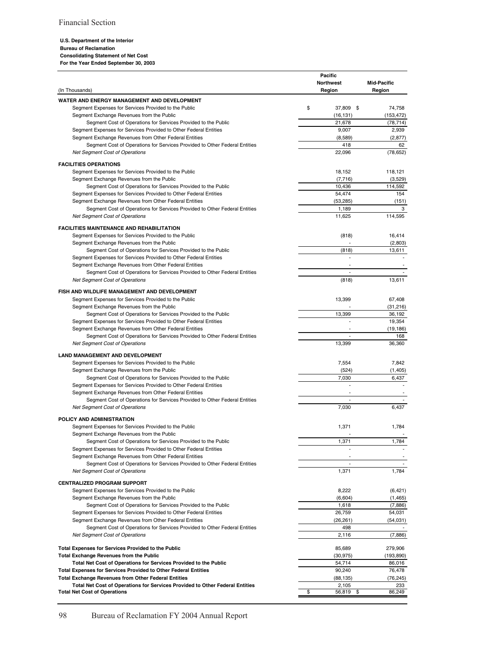#### U.S. Department of the Interior

#### **Bureau of Reclamation**

**Consolidating Statement of Net Cost** 

For the Year Ended September 30, 2003

|                                                                              | Pacific                  |                          |
|------------------------------------------------------------------------------|--------------------------|--------------------------|
|                                                                              | <b>Northwest</b>         | <b>Mid-Pacific</b>       |
| (In Thousands)                                                               | Region                   | Region                   |
| WATER AND ENERGY MANAGEMENT AND DEVELOPMENT                                  |                          |                          |
| Segment Expenses for Services Provided to the Public                         | \$<br>37,809 \$          | 74,758                   |
| Segment Exchange Revenues from the Public                                    | (16, 131)                | (153, 472)               |
| Segment Cost of Operations for Services Provided to the Public               | 21,678                   | (78, 714)                |
| Segment Expenses for Services Provided to Other Federal Entities             | 9,007                    | 2,939                    |
| Segment Exchange Revenues from Other Federal Entities                        | (8,589)                  | (2, 877)                 |
| Segment Cost of Operations for Services Provided to Other Federal Entities   | 418                      | 62                       |
|                                                                              |                          |                          |
| <b>Net Segment Cost of Operations</b>                                        | 22,096                   | (78, 652)                |
| <b>FACILITIES OPERATIONS</b>                                                 |                          |                          |
| Segment Expenses for Services Provided to the Public                         | 18,152                   | 118,121                  |
| Segment Exchange Revenues from the Public                                    | (7, 716)                 | (3,529)                  |
| Segment Cost of Operations for Services Provided to the Public               | 10,436                   | 114,592                  |
| Segment Expenses for Services Provided to Other Federal Entities             | 54,474                   | 154                      |
| Segment Exchange Revenues from Other Federal Entities                        | (53, 285)                | (151)                    |
|                                                                              |                          |                          |
| Segment Cost of Operations for Services Provided to Other Federal Entities   | 1,189                    | 3                        |
| <b>Net Segment Cost of Operations</b>                                        | 11,625                   | 114,595                  |
| <b>FACILITIES MAINTENANCE AND REHABILITATION</b>                             |                          |                          |
| Segment Expenses for Services Provided to the Public                         | (818)                    | 16,414                   |
| Segment Exchange Revenues from the Public                                    | $\overline{a}$           | (2,803)                  |
| Segment Cost of Operations for Services Provided to the Public               | (818)                    | 13,611                   |
|                                                                              |                          |                          |
| Segment Expenses for Services Provided to Other Federal Entities             |                          |                          |
| Segment Exchange Revenues from Other Federal Entities                        |                          |                          |
| Segment Cost of Operations for Services Provided to Other Federal Entities   | $\overline{\phantom{a}}$ |                          |
| <b>Net Segment Cost of Operations</b>                                        | (818)                    | 13,611                   |
| FISH AND WILDLIFE MANAGEMENT AND DEVELOPMENT                                 |                          |                          |
| Segment Expenses for Services Provided to the Public                         | 13,399                   | 67,408                   |
|                                                                              |                          |                          |
| Segment Exchange Revenues from the Public                                    |                          | (31, 216)                |
| Segment Cost of Operations for Services Provided to the Public               | 13,399                   | 36,192                   |
| Segment Expenses for Services Provided to Other Federal Entities             |                          | 19,354                   |
| Segment Exchange Revenues from Other Federal Entities                        |                          | (19, 186)                |
| Segment Cost of Operations for Services Provided to Other Federal Entities   | $\overline{\phantom{a}}$ | 168                      |
| <b>Net Segment Cost of Operations</b>                                        | 13,399                   | 36,360                   |
|                                                                              |                          |                          |
| <b>LAND MANAGEMENT AND DEVELOPMENT</b>                                       |                          |                          |
| Segment Expenses for Services Provided to the Public                         | 7,554                    | 7,842                    |
| Segment Exchange Revenues from the Public                                    | (524)                    | (1, 405)                 |
| Segment Cost of Operations for Services Provided to the Public               | 7,030                    | 6,437                    |
| Segment Expenses for Services Provided to Other Federal Entities             | $\overline{a}$           |                          |
| Segment Exchange Revenues from Other Federal Entities                        |                          |                          |
| Segment Cost of Operations for Services Provided to Other Federal Entities   | $\overline{\phantom{a}}$ |                          |
| <b>Net Segment Cost of Operations</b>                                        | 7,030                    | 6,437                    |
|                                                                              |                          |                          |
| POLICY AND ADMINISTRATION                                                    |                          |                          |
| Segment Expenses for Services Provided to the Public                         | 1,371                    | 1,784                    |
| Segment Exchange Revenues from the Public                                    |                          |                          |
| Segment Cost of Operations for Services Provided to the Public               | 1,371                    | 1,784                    |
| Segment Expenses for Services Provided to Other Federal Entities             |                          |                          |
| Segment Exchange Revenues from Other Federal Entities                        |                          |                          |
| Segment Cost of Operations for Services Provided to Other Federal Entities   | $\overline{\phantom{a}}$ | $\overline{\phantom{a}}$ |
| <b>Net Segment Cost of Operations</b>                                        | 1,371                    | 1,784                    |
|                                                                              |                          |                          |
| <b>CENTRALIZED PROGRAM SUPPORT</b>                                           |                          |                          |
| Segment Expenses for Services Provided to the Public                         | 8,222                    | (6, 421)                 |
| Segment Exchange Revenues from the Public                                    | (6,604)                  | (1, 465)                 |
| Segment Cost of Operations for Services Provided to the Public               | 1,618                    | (7,886)                  |
| Segment Expenses for Services Provided to Other Federal Entities             | 26,759                   | 54,031                   |
| Segment Exchange Revenues from Other Federal Entities                        | (26, 261)                | (54,031)                 |
| Segment Cost of Operations for Services Provided to Other Federal Entities   | 498                      |                          |
| <b>Net Segment Cost of Operations</b>                                        | 2,116                    | (7,886)                  |
|                                                                              |                          |                          |
| <b>Total Expenses for Services Provided to the Public</b>                    | 85,689                   | 279,906                  |
| <b>Total Exchange Revenues from the Public</b>                               | (30, 975)                | (193, 890)               |
| Total Net Cost of Operations for Services Provided to the Public             | 54,714                   | 86,016                   |
| <b>Total Expenses for Services Provided to Other Federal Entities</b>        | 90,240                   | 76,478                   |
| <b>Total Exchange Revenues from Other Federal Entities</b>                   | (88, 135)                | (76, 245)                |
| Total Net Cost of Operations for Services Provided to Other Federal Entities | 2,105                    | 233                      |
| <b>Total Net Cost of Operations</b>                                          | \$<br>56,819<br>\$       | 86,249                   |
|                                                                              |                          |                          |